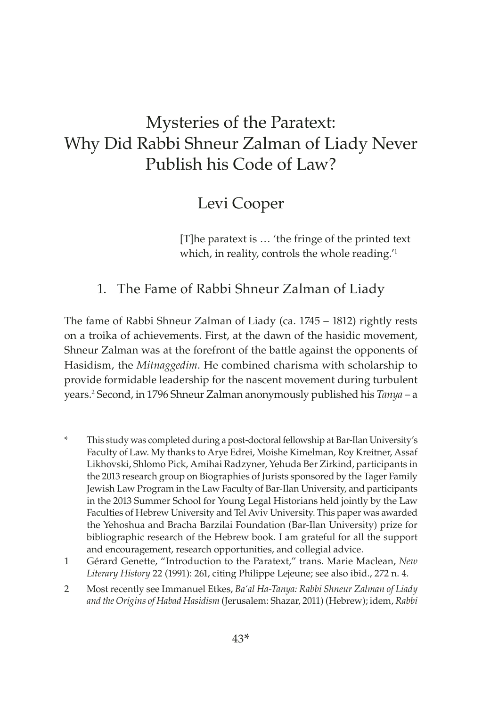# Mysteries of the Paratext: Why Did Rabbi Shneur Zalman of Liady Never Publish his Code of Law?

# Levi Cooper

[T]he paratext is … 'the fringe of the printed text which, in reality, controls the whole reading.<sup>11</sup>

# 1. The Fame of Rabbi Shneur Zalman of Liady

The fame of Rabbi Shneur Zalman of Liady (ca. 1745 – 1812) rightly rests on a troika of achievements. First, at the dawn of the hasidic movement, Shneur Zalman was at the forefront of the battle against the opponents of Hasidism, the *Mitnaggedim*. He combined charisma with scholarship to provide formidable leadership for the nascent movement during turbulent years.2 Second, in 1796 Shneur Zalman anonymously published his *Tanya* – a

- This study was completed during a post-doctoral fellowship at Bar-Ilan University's Faculty of Law. My thanks to Arye Edrei, Moishe Kimelman, Roy Kreitner, Assaf Likhovski, Shlomo Pick, Amihai Radzyner, Yehuda Ber Zirkind, participants in the 2013 research group on Biographies of Jurists sponsored by the Tager Family Jewish Law Program in the Law Faculty of Bar-Ilan University, and participants in the 2013 Summer School for Young Legal Historians held jointly by the Law Faculties of Hebrew University and Tel Aviv University. This paper was awarded the Yehoshua and Bracha Barzilai Foundation (Bar-Ilan University) prize for bibliographic research of the Hebrew book. I am grateful for all the support and encouragement, research opportunities, and collegial advice.
- 1 Gérard Genette, "Introduction to the Paratext," trans. Marie Maclean, *New Literary History* 22 (1991): 261, citing Philippe Lejeune; see also ibid., 272 n. 4.
- 2 Most recently see Immanuel Etkes, *[Ba'al Ha-Tanya: Rabbi Shneur Zalman of Liady](http://www.shazarbooks.co.il/bookDetails.asp?book=588)  [and the Origins of Habad Hasidism](http://www.shazarbooks.co.il/bookDetails.asp?book=588)* (Jerusalem: Shazar, 2011) (Hebrew); idem, *Rabbi*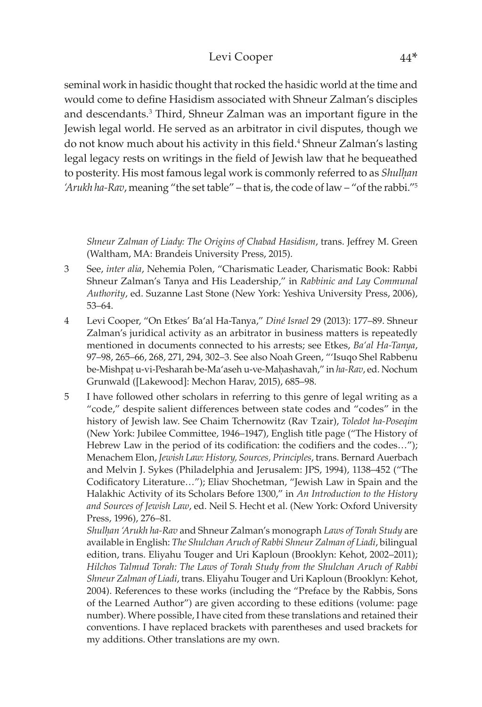### Levi Cooper 44\*

seminal work in hasidic thought that rocked the hasidic world at the time and would come to define Hasidism associated with Shneur Zalman's disciples and descendants.<sup>3</sup> Third, Shneur Zalman was an important figure in the Jewish legal world. He served as an arbitrator in civil disputes, though we do not know much about his activity in this field.<sup>4</sup> Shneur Zalman's lasting legal legacy rests on writings in the field of Jewish law that he bequeathed to posterity. His most famous legal work is commonly referred to as *Shulḥan 'Arukh ha-Rav*, meaning "the set table" – that is, the code of law – "of the rabbi."5

*Shneur Zalman of Liady: The Origins of Chabad Hasidism*, trans. Jeffrey M. Green (Waltham, MA: Brandeis University Press, 2015).

- 3 See, *inter alia*, Nehemia Polen, "Charismatic Leader, Charismatic Book: Rabbi Shneur Zalman's Tanya and His Leadership," in *Rabbinic and Lay Communal Authority*, ed. Suzanne Last Stone (New York: Yeshiva University Press, 2006), 53–64.
- 4 Levi Cooper, "On Etkes' Ba'al Ha-Tanya," *Diné Israel* 29 (2013): 177–89. Shneur Zalman's juridical activity as an arbitrator in business matters is repeatedly mentioned in documents connected to his arrests; see Etkes, *Ba'al Ha-Tanya*, 97–98, 265–66, 268, 271, 294, 302–3. See also Noah Green, "'Isuqo Shel Rabbenu be-Mishpat u-vi-Pesharah be-Ma'aseh u-ve-Mahashavah," in ha-Rav, ed. Nochum Grunwald ([Lakewood]: Mechon Harav, 2015), 685–98.
- 5 I have followed other scholars in referring to this genre of legal writing as a "code," despite salient differences between state codes and "codes" in the history of Jewish law. See Chaim Tchernowitz (Rav Tzair), *Toledot ha-Poseqim*  (New York: Jubilee Committee, 1946–1947), English title page ("The History of Hebrew Law in the period of its codification: the codifiers and the codes…"); Menachem Elon, *Jewish Law: History, Sources, Principles*, trans. Bernard Auerbach and Melvin J. Sykes (Philadelphia and Jerusalem: JPS, 1994), 1138–452 ("The Codificatory Literature…"); Eliav Shochetman, "Jewish Law in Spain and the Halakhic Activity of its Scholars Before 1300," in *An Introduction to the History and Sources of Jewish Law*, ed. Neil S. Hecht et al. (New York: Oxford University Press, 1996), 276–81.

*Shulḥan 'Arukh ha-Rav* and Shneur Zalman's monograph *Laws of Torah Study* are available in English: *The Shulchan Aruch of Rabbi Shneur Zalman of Liadi*, bilingual edition, trans. Eliyahu Touger and Uri Kaploun (Brooklyn: Kehot, 2002–2011); *Hilchos Talmud Torah: The Laws of Torah Study from the Shulchan Aruch of Rabbi Shneur Zalman of Liadi*, trans. Eliyahu Touger and Uri Kaploun (Brooklyn: Kehot, 2004). References to these works (including the "Preface by the Rabbis, Sons of the Learned Author") are given according to these editions (volume: page number). Where possible, I have cited from these translations and retained their conventions. I have replaced brackets with parentheses and used brackets for my additions. Other translations are my own.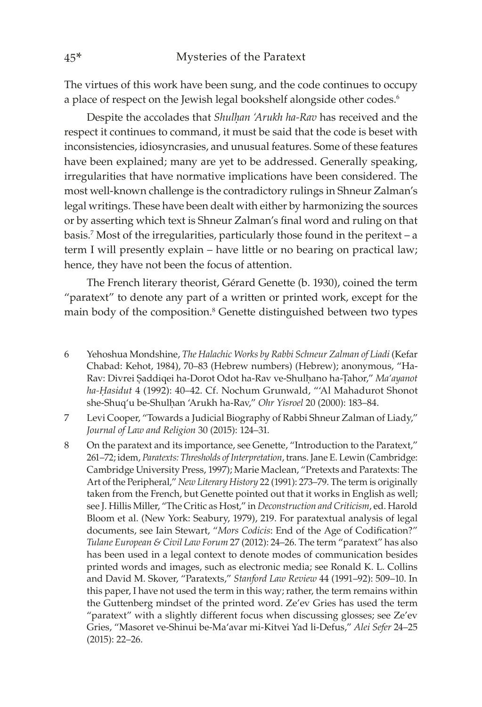The virtues of this work have been sung, and the code continues to occupy a place of respect on the Jewish legal bookshelf alongside other codes.<sup>6</sup>

Despite the accolades that *Shulḥan 'Arukh ha-Rav* has received and the respect it continues to command, it must be said that the code is beset with inconsistencies, idiosyncrasies, and unusual features. Some of these features have been explained; many are yet to be addressed. Generally speaking, irregularities that have normative implications have been considered. The most well-known challenge is the contradictory rulings in Shneur Zalman's legal writings. These have been dealt with either by harmonizing the sources or by asserting which text is Shneur Zalman's final word and ruling on that basis.7 Most of the irregularities, particularly those found in the peritext – a term I will presently explain – have little or no bearing on practical law; hence, they have not been the focus of attention.

The French literary theorist, Gérard Genette (b. 1930), coined the term "paratext" to denote any part of a written or printed work, except for the main body of the composition.<sup>8</sup> Genette distinguished between two types

- 6 Yehoshua Mondshine, *The Halachic Works by Rabbi Schneur Zalman of Liadi* (Kefar Chabad: Kehot, 1984), 70–83 (Hebrew numbers) (Hebrew); anonymous, "Ha-Rav: Divrei Ṣaddiqei ha-Dorot Odot ha-Rav ve-Shulḥano ha-Ṭahor," *Ma'ayanot ha-Ḥasidut* 4 (1992): 40–42. Cf. Nochum Grunwald, "'Al Mahadurot Shonot she-Shuq'u be-Shulhan 'Arukh ha-Rav," *Ohr Yisroel* 20 (2000): 183-84.
- 7 Levi Cooper, "Towards a Judicial Biography of Rabbi Shneur Zalman of Liady," *Journal of Law and Religion* 30 (2015): 124–31.
- 8 On the paratext and its importance, see Genette, "Introduction to the Paratext," 261–72; idem, *Paratexts: Thresholds of Interpretation*, trans. Jane E. Lewin (Cambridge: Cambridge University Press, 1997); Marie Maclean, "Pretexts and Paratexts: The Art of the Peripheral," *New Literary History* 22 (1991): 273–79. The term is originally taken from the French, but Genette pointed out that it works in English as well; see J. Hillis Miller, "The Critic as Host," in *Deconstruction and Criticism*, ed. Harold Bloom et al. (New York: Seabury, 1979), 219. For paratextual analysis of legal documents, see Iain Stewart, "*Mors Codicis*: End of the Age of Codification?" *Tulane European & Civil Law Forum* 27 (2012): 24–26. The term "paratext" has also has been used in a legal context to denote modes of communication besides printed words and images, such as electronic media; see Ronald K. L. Collins and David M. Skover, "Paratexts," *Stanford Law Review* 44 (1991–92): 509–10. In this paper, I have not used the term in this way; rather, the term remains within the Guttenberg mindset of the printed word. Ze'ev Gries has used the term "paratext" with a slightly different focus when discussing glosses; see Ze'ev Gries, "Masoret ve-Shinui be-Ma'avar mi-Kitvei Yad li-Defus," *Alei Sefer* 24–25 (2015): 22–26.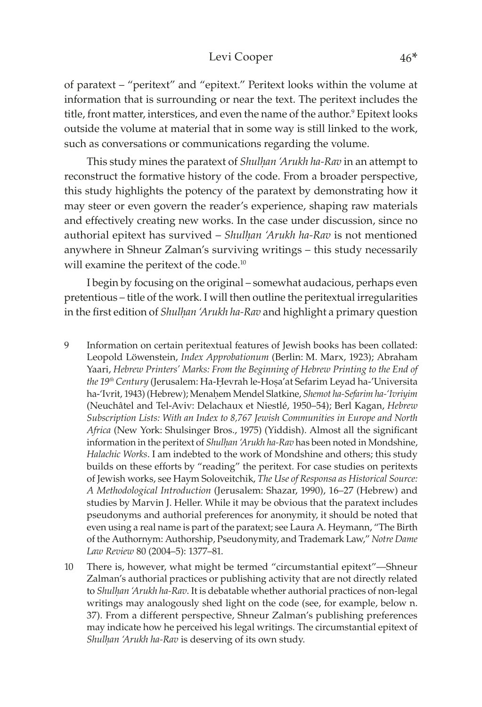#### Levi Cooper 46\*

of paratext – "peritext" and "epitext." Peritext looks within the volume at information that is surrounding or near the text. The peritext includes the title, front matter, interstices, and even the name of the author.<sup>9</sup> Epitext looks outside the volume at material that in some way is still linked to the work, such as conversations or communications regarding the volume.

This study mines the paratext of *Shulḥan 'Arukh ha-Rav* in an attempt to reconstruct the formative history of the code. From a broader perspective, this study highlights the potency of the paratext by demonstrating how it may steer or even govern the reader's experience, shaping raw materials and effectively creating new works. In the case under discussion, since no authorial epitext has survived – *Shulḥan 'Arukh ha-Rav* is not mentioned anywhere in Shneur Zalman's surviving writings – this study necessarily will examine the peritext of the code.<sup>10</sup>

I begin by focusing on the original – somewhat audacious, perhaps even pretentious – title of the work. I will then outline the peritextual irregularities in the first edition of *Shulhan 'Arukh ha-Rav* and highlight a primary question

- 9 Information on certain peritextual features of Jewish books has been collated: Leopold Löwenstein, *Index Approbationum* (Berlin: M. Marx, 1923); Abraham Yaari, *Hebrew Printers' Marks: From the Beginning of Hebrew Printing to the End of the 19th Century* (Jerusalem: Ha-Ḥevrah le-Hoṣa'at Sefarim Leyad ha-'Universita ha-'Ivrit, 1943) (Hebrew); Menaḥem Mendel Slatkine, *Shemot ha-Sefarim ha-'Ivriyim* (Neuchâtel and Tel-Aviv: Delachaux et Niestlé, 1950–54); Berl Kagan, *Hebrew Subscription Lists: With an Index to 8,767 Jewish Communities in Europe and North Africa* (New York: Shulsinger Bros., 1975) (Yiddish). Almost all the significant information in the peritext of *Shulḥan 'Arukh ha-Rav* has been noted in Mondshine, *Halachic Works*. I am indebted to the work of Mondshine and others; this study builds on these efforts by "reading" the peritext. For case studies on peritexts of Jewish works, see Haym Soloveitchik, *The Use of Responsa as Historical Source: A Methodological Introduction* (Jerusalem: Shazar, 1990), 16–27 (Hebrew) and studies by Marvin J. Heller. While it may be obvious that the paratext includes pseudonyms and authorial preferences for anonymity, it should be noted that even using a real name is part of the paratext; see Laura A. Heymann, "The Birth of the Authornym: Authorship, Pseudonymity, and Trademark Law," *Notre Dame Law Review* 80 (2004–5): 1377–81.
- 10 There is, however, what might be termed "circumstantial epitext"—Shneur Zalman's authorial practices or publishing activity that are not directly related to *Shulḥan 'Arukh ha-Rav*. It is debatable whether authorial practices of non-legal writings may analogously shed light on the code (see, for example, below n. 37). From a different perspective, Shneur Zalman's publishing preferences may indicate how he perceived his legal writings. The circumstantial epitext of *Shulḥan 'Arukh ha-Rav* is deserving of its own study.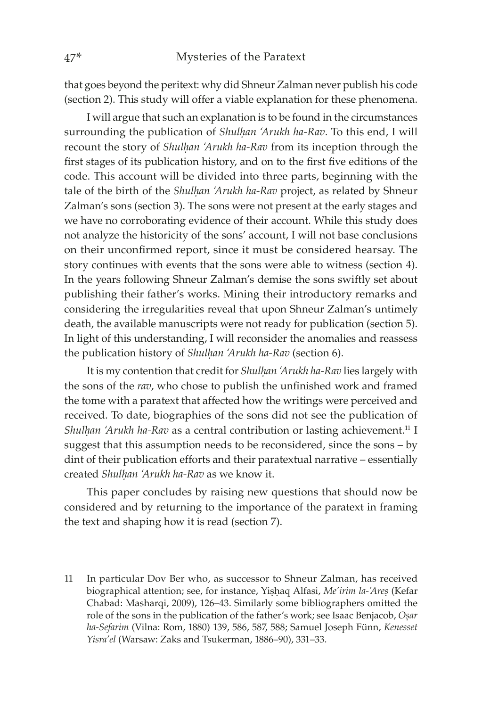that goes beyond the peritext: why did Shneur Zalman never publish his code (section 2). This study will offer a viable explanation for these phenomena.

I will argue that such an explanation is to be found in the circumstances surrounding the publication of *Shulhan 'Arukh ha-Rav*. To this end, I will recount the story of *Shulhan 'Arukh ha-Rav* from its inception through the first stages of its publication history, and on to the first five editions of the code. This account will be divided into three parts, beginning with the tale of the birth of the *Shulhan 'Arukh ha-Rav* project, as related by Shneur Zalman's sons (section 3). The sons were not present at the early stages and we have no corroborating evidence of their account. While this study does not analyze the historicity of the sons' account, I will not base conclusions on their unconfirmed report, since it must be considered hearsay. The story continues with events that the sons were able to witness (section 4). In the years following Shneur Zalman's demise the sons swiftly set about publishing their father's works. Mining their introductory remarks and considering the irregularities reveal that upon Shneur Zalman's untimely death, the available manuscripts were not ready for publication (section 5). In light of this understanding, I will reconsider the anomalies and reassess the publication history of *Shulḥan 'Arukh ha-Rav* (section 6).

It is my contention that credit for *Shulḥan 'Arukh ha-Rav* lies largely with the sons of the *rav*, who chose to publish the unfinished work and framed the tome with a paratext that affected how the writings were perceived and received. To date, biographies of the sons did not see the publication of *Shulhan 'Arukh ha-Rav* as a central contribution or lasting achievement.<sup>11</sup> I suggest that this assumption needs to be reconsidered, since the sons – by dint of their publication efforts and their paratextual narrative – essentially created *Shulḥan 'Arukh ha-Rav* as we know it.

This paper concludes by raising new questions that should now be considered and by returning to the importance of the paratext in framing the text and shaping how it is read (section 7).

11 In particular Dov Ber who, as successor to Shneur Zalman, has received biographical attention; see, for instance, Yiṣḥaq Alfasi, *Me'irim la-'Areṣ* (Kefar Chabad: Masharqi, 2009), 126–43. Similarly some bibliographers omitted the role of the sons in the publication of the father's work; see Isaac Benjacob, *Oṣar ha-Sefarim* (Vilna: Rom, 1880) 139, 586, 587, 588; Samuel Joseph Fünn, *Kenesset Yisra'el* (Warsaw: Zaks and Tsukerman, 1886–90), 331–33.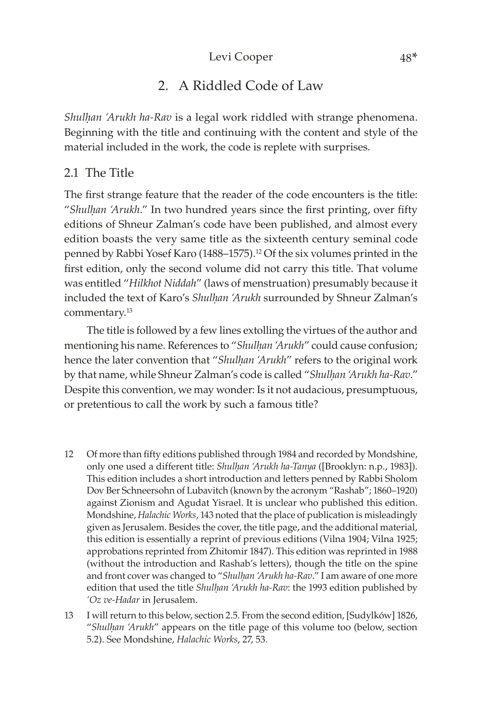### Levi Cooper 48\*

# 2. A Riddled Code of Law

*Shulḥan 'Arukh ha-Rav* is a legal work riddled with strange phenomena. Beginning with the title and continuing with the content and style of the material included in the work, the code is replete with surprises.

### 2.1 The Title

The first strange feature that the reader of the code encounters is the title: "*Shulḥan 'Arukh*." In two hundred years since the first printing, over fifty editions of Shneur Zalman's code have been published, and almost every edition boasts the very same title as the sixteenth century seminal code penned by Rabbi Yosef Karo (1488–1575).<sup>12</sup> Of the six volumes printed in the first edition, only the second volume did not carry this title. That volume was entitled "*Hilkhot Niddah*" (laws of menstruation) presumably because it included the text of Karo's *Shulḥan 'Arukh* surrounded by Shneur Zalman's commentary.13

The title is followed by a few lines extolling the virtues of the author and mentioning his name. References to "*Shulḥan 'Arukh*" could cause confusion; hence the later convention that "*Shulḥan 'Arukh*" refers to the original work by that name, while Shneur Zalman's code is called "*Shulḥan 'Arukh ha-Rav*." Despite this convention, we may wonder: Is it not audacious, presumptuous, or pretentious to call the work by such a famous title?

- 12 Of more than fifty editions published through 1984 and recorded by Mondshine, only one used a different title: *Shulḥan 'Arukh ha-Tanya* ([Brooklyn: n.p., 1983]). This edition includes a short introduction and letters penned by Rabbi Sholom Dov Ber Schneersohn of Lubavitch (known by the acronym "Rashab"; 1860–1920) against Zionism and Agudat Yisrael. It is unclear who published this edition. Mondshine, *Halachic Works*, 143 noted that the place of publication is misleadingly given as Jerusalem. Besides the cover, the title page, and the additional material, this edition is essentially a reprint of previous editions (Vilna 1904; Vilna 1925; approbations reprinted from Zhitomir 1847). This edition was reprinted in 1988 (without the introduction and Rashab's letters), though the title on the spine and front cover was changed to "*Shulḥan 'Arukh ha-Rav*." I am aware of one more edition that used the title *Shulhan 'Arukh ha-Rav*: the 1993 edition published by *'Oz ve-Hadar* in Jerusalem.
- 13 I will return to this below, section 2.5. From the second edition, [Sudylków] 1826, "*Shulḥan 'Arukh*" appears on the title page of this volume too (below, section 5.2). See Mondshine, *Halachic Works*, 27, 53.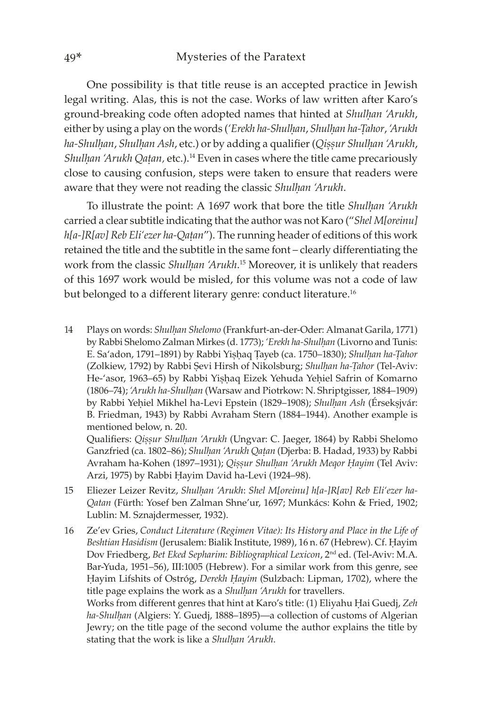One possibility is that title reuse is an accepted practice in Jewish legal writing. Alas, this is not the case. Works of law written after Karo's ground-breaking code often adopted names that hinted at *Shulhan 'Arukh*, either by using a play on the words (*'Erekh ha-Shulḥan*, *Shulḥan ha-Ṭahor*, *'Arukh ha-Shulḥan*, *Shulḥan Ash*, etc.) or by adding a qualifier (*Qiṣṣur Shulḥan 'Arukh*, *Shulhan 'Arukh Qatan, etc.*).<sup>14</sup> Even in cases where the title came precariously close to causing confusion, steps were taken to ensure that readers were aware that they were not reading the classic *Shulhan 'Arukh*.

To illustrate the point: A 1697 work that bore the title *Shulhan 'Arukh* carried a clear subtitle indicating that the author was not Karo ("*Shel M[oreinu] h*[a-]R[av] Reb Eli'ezer ha-Qatan"). The running header of editions of this work retained the title and the subtitle in the same font – clearly differentiating the work from the classic *Shulḥan 'Arukh*. 15 Moreover, it is unlikely that readers of this 1697 work would be misled, for this volume was not a code of law but belonged to a different literary genre: conduct literature.<sup>16</sup>

14 Plays on words: *Shulḥan Shelomo* (Frankfurt-an-der-Oder: Almanat Garila, 1771) by Rabbi Shelomo Zalman Mirkes (d. 1773); *'Erekh ha-Shulḥan* (Livorno and Tunis: E. Sa'adon, 1791–1891) by Rabbi Yiṣḥaq Ṭayeb (ca. 1750–1830); *Shulḥan ha-Ṭahor* (Zolkiew, 1792) by Rabbi Ṣevi Hirsh of Nikolsburg; *Shulḥan ha-Ṭahor* (Tel-Aviv: He-'asor, 1963–65) by Rabbi Yiṣḥaq Eizek Yehuda Yeḥiel Safrin of Komarno (1806–74); *'Arukh ha-Shulḥan* (Warsaw and Piotrkow: N. Shriptgisser, 1884–1909) by Rabbi Yehiel Mikhel ha-Levi Epstein (1829–1908); *Shulhan Ash* (Érseksjvár: B. Friedman, 1943) by Rabbi Avraham Stern (1884–1944). Another example is mentioned below, n. 20.

Qualifiers: *Qiṣṣur Shulḥan 'Arukh* (Ungvar: C. Jaeger, 1864) by Rabbi Shelomo Ganzfried (ca. 1802–86); *Shulhan 'Arukh Qatan* (Djerba: B. Hadad, 1933) by Rabbi Avraham ha-Kohen (1897–1931); *Qiṣṣur Shulḥan 'Arukh Meqor Ḥayim* (Tel Aviv: Arzi, 1975) by Rabbi Ḥayim David ha-Levi (1924–98).

- 15 Eliezer Leizer Revitz, *Shulḥan 'Arukh*: *Shel M[oreinu] h[a-]R[av] Reb Eli'ezer ha-Qatan* (Fürth: Yosef ben Zalman Shne'ur, 1697; Munkács: Kohn & Fried, 1902; Lublin: M. Sznajdermesser, 1932).
- 16 Ze'ev Gries, *Conduct Literature (Regimen Vitae): Its History and Place in the Life of Beshtian Hasidism* (Jerusalem: Bialik Institute, 1989), 16 n. 67 (Hebrew). Cf. Ḥayim Dov Friedberg, *Bet Eked Sepharim: Bibliographical Lexicon*, 2nd ed. (Tel-Aviv: M.A. Bar-Yuda, 1951–56), III:1005 (Hebrew). For a similar work from this genre, see Ḥayim Lifshits of Ostróg, *Derekh Ḥayim* (Sulzbach: Lipman, 1702), where the title page explains the work as a *Shulḥan 'Arukh* for travellers. Works from different genres that hint at Karo's title: (1) Eliyahu Ḥai Guedj, *Zeh ha-Shulḥan* (Algiers: Y. Guedj, 1888–1895)—a collection of customs of Algerian Jewry; on the title page of the second volume the author explains the title by stating that the work is like a *Shulḥan 'Arukh*.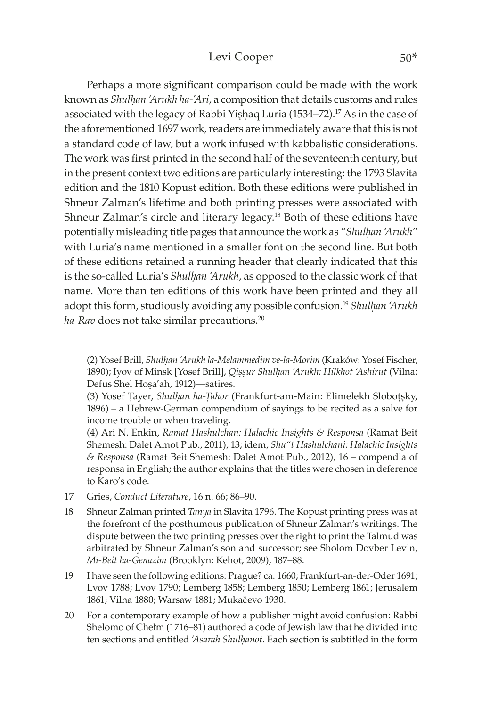#### Levi Cooper 50\*

Perhaps a more significant comparison could be made with the work known as *Shulḥan 'Arukh ha-'Ari*, a composition that details customs and rules associated with the legacy of Rabbi Yishaq Luria (1534–72).<sup>17</sup> As in the case of the aforementioned 1697 work, readers are immediately aware that this is not a standard code of law, but a work infused with kabbalistic considerations. The work was first printed in the second half of the seventeenth century, but in the present context two editions are particularly interesting: the 1793 Slavita edition and the 1810 Kopust edition. Both these editions were published in Shneur Zalman's lifetime and both printing presses were associated with Shneur Zalman's circle and literary legacy.18 Both of these editions have potentially misleading title pages that announce the work as "*Shulhan 'Arukh"* with Luria's name mentioned in a smaller font on the second line. But both of these editions retained a running header that clearly indicated that this is the so-called Luria's *Shulhan 'Arukh*, as opposed to the classic work of that name. More than ten editions of this work have been printed and they all adopt this form, studiously avoiding any possible confusion.19 *Shulḥan 'Arukh ha-Rav* does not take similar precautions.20

(2) Yosef Brill, *Shulḥan 'Arukh la-Melammedim ve-la-Morim* (Kraków: Yosef Fischer, 1890); Iyov of Minsk [Yosef Brill], *Qiṣṣur Shulḥan 'Arukh: Hilkhot 'Ashirut* (Vilna: Defus Shel Hosa'ah, 1912)—satires.

(3) Yosef Ṭayer, *Shulḥan ha-Ṭahor* (Frankfurt-am-Main: Elimelekh Sloboṭṣky, 1896) – a Hebrew-German compendium of sayings to be recited as a salve for income trouble or when traveling.

(4) Ari N. Enkin, *Ramat Hashulchan: Halachic Insights & Responsa* (Ramat Beit Shemesh: Dalet Amot Pub., 2011), 13; idem, *Shu"t Hashulchani: Halachic Insights & Responsa* (Ramat Beit Shemesh: Dalet Amot Pub., 2012), 16 – compendia of responsa in English; the author explains that the titles were chosen in deference to Karo's code.

- 17 Gries, *Conduct Literature*, 16 n. 66; 86–90.
- 18 Shneur Zalman printed *Tanya* in Slavita 1796. The Kopust printing press was at the forefront of the posthumous publication of Shneur Zalman's writings. The dispute between the two printing presses over the right to print the Talmud was arbitrated by Shneur Zalman's son and successor; see Sholom Dovber Levin, *Mi-Beit ha-Genazim* (Brooklyn: Kehot, 2009), 187–88.
- 19 I have seen the following editions: Prague? ca. 1660; Frankfurt-an-der-Oder 1691; Lvov 1788; Lvov 1790; Lemberg 1858; Lemberg 1850; Lemberg 1861; Jerusalem 1861; Vilna 1880; Warsaw 1881; Mukačevo 1930.
- 20 For a contemporary example of how a publisher might avoid confusion: Rabbi Shelomo of Chełm (1716–81) authored a code of Jewish law that he divided into ten sections and entitled *'Asarah Shulḥanot*. Each section is subtitled in the form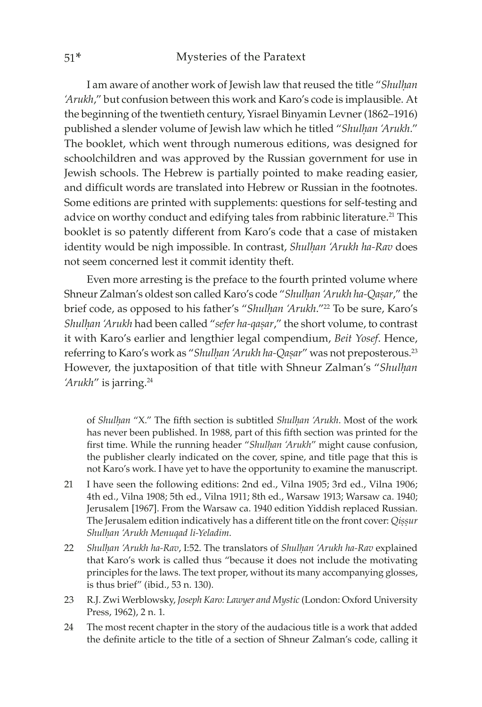I am aware of another work of Jewish law that reused the title "*Shulḥan 'Arukh*," but confusion between this work and Karo's code is implausible. At the beginning of the twentieth century, Yisrael Binyamin Levner (1862–1916) published a slender volume of Jewish law which he titled "Shulhan 'Arukh." The booklet, which went through numerous editions, was designed for schoolchildren and was approved by the Russian government for use in Jewish schools. The Hebrew is partially pointed to make reading easier, and difficult words are translated into Hebrew or Russian in the footnotes. Some editions are printed with supplements: questions for self-testing and advice on worthy conduct and edifying tales from rabbinic literature.<sup>21</sup> This booklet is so patently different from Karo's code that a case of mistaken identity would be nigh impossible. In contrast, *Shulḥan 'Arukh ha-Rav* does not seem concerned lest it commit identity theft.

Even more arresting is the preface to the fourth printed volume where Shneur Zalman's oldest son called Karo's code "*Shulḥan 'Arukh ha-Qaṣar*," the brief code, as opposed to his father's "*Shulhan 'Arukh*."<sup>22</sup> To be sure, Karo's *Shulḥan 'Arukh* had been called "*sefer ha-qaṣar*," the short volume, to contrast it with Karo's earlier and lengthier legal compendium, *Beit Yosef*. Hence, referring to Karo's work as "*Shulḥan 'Arukh ha-Qaṣar*" was not preposterous.23 However, the juxtaposition of that title with Shneur Zalman's "*Shulḥan*  'Arukh'' is jarring.<sup>24</sup>

of *Shulḥan* "X." The fifth section is subtitled *Shulḥan 'Arukh*. Most of the work has never been published. In 1988, part of this fifth section was printed for the first time. While the running header "*Shulḥan 'Arukh*" might cause confusion, the publisher clearly indicated on the cover, spine, and title page that this is not Karo's work. I have yet to have the opportunity to examine the manuscript.

- 21 I have seen the following editions: 2nd ed., Vilna 1905; 3rd ed., Vilna 1906; 4th ed., Vilna 1908; 5th ed., Vilna 1911; 8th ed., Warsaw 1913; Warsaw ca. 1940; Jerusalem [1967]. From the Warsaw ca. 1940 edition Yiddish replaced Russian. The Jerusalem edition indicatively has a different title on the front cover: *Qiṣṣur Shulḥan 'Arukh Menuqad li-Yeladim*.
- 22 *Shulḥan 'Arukh ha-Rav*, I:52. The translators of *Shulḥan 'Arukh ha-Rav* explained that Karo's work is called thus "because it does not include the motivating principles for the laws. The text proper, without its many accompanying glosses, is thus brief" (ibid., 53 n. 130).
- 23 R.J. Zwi Werblowsky, *Joseph Karo: Lawyer and Mystic* (London: Oxford University Press, 1962), 2 n. 1.
- 24 The most recent chapter in the story of the audacious title is a work that added the definite article to the title of a section of Shneur Zalman's code, calling it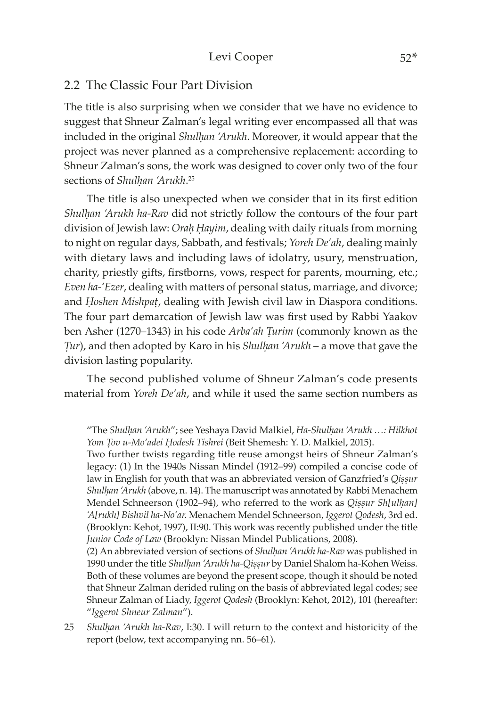#### 2.2 The Classic Four Part Division

The title is also surprising when we consider that we have no evidence to suggest that Shneur Zalman's legal writing ever encompassed all that was included in the original *Shulḥan 'Arukh*. Moreover, it would appear that the project was never planned as a comprehensive replacement: according to Shneur Zalman's sons, the work was designed to cover only two of the four sections of *Shulḥan 'Arukh*. 25

The title is also unexpected when we consider that in its first edition *Shulḥan 'Arukh ha-Rav* did not strictly follow the contours of the four part division of Jewish law: *Oraḥ Ḥayim*, dealing with daily rituals from morning to night on regular days, Sabbath, and festivals; *Yoreh De'ah*, dealing mainly with dietary laws and including laws of idolatry, usury, menstruation, charity, priestly gifts, firstborns, vows, respect for parents, mourning, etc.; *Even ha-'Ezer*, dealing with matters of personal status, marriage, and divorce; and *Ḥoshen Mishpaû*, dealing with Jewish civil law in Diaspora conditions. The four part demarcation of Jewish law was first used by Rabbi Yaakov ben Asher (1270–1343) in his code *Arba'ah Turim* (commonly known as the *Jur*), and then adopted by Karo in his *Shulhan 'Arukh* – a move that gave the division lasting popularity.

The second published volume of Shneur Zalman's code presents material from *Yoreh De'ah*, and while it used the same section numbers as

Two further twists regarding title reuse amongst heirs of Shneur Zalman's legacy: (1) In the 1940s Nissan Mindel (1912–99) compiled a concise code of law in English for youth that was an abbreviated version of Ganzfried's *Qiṣṣur Shulḥan 'Arukh* (above, n. 14). The manuscript was annotated by Rabbi Menachem Mendel Schneerson (1902–94), who referred to the work as *Qiṣṣur Sh[ulḥan] 'A[rukh] Bishvil ha-No'ar.* Menachem Mendel Schneerson, *Iggerot Qodesh*, 3rd ed. (Brooklyn: Kehot, 1997), II:90. This work was recently published under the title *Junior Code of Law* (Brooklyn: Nissan Mindel Publications, 2008).

(2) An abbreviated version of sections of *Shulḥan 'Arukh ha-Rav* was published in 1990 under the title *Shulḥan 'Arukh ha-Qiṣṣur* by Daniel Shalom ha-Kohen Weiss. Both of these volumes are beyond the present scope, though it should be noted that Shneur Zalman derided ruling on the basis of abbreviated legal codes; see Shneur Zalman of Liady, *Iggerot Qodesh* (Brooklyn: Kehot, 2012), 101 (hereafter: "*Iggerot Shneur Zalman*").

25 *Shulḥan 'Arukh ha-Rav*, I:30. I will return to the context and historicity of the report (below, text accompanying nn. 56–61).

<sup>&</sup>quot;The *Shulḥan 'Arukh*"; see Yeshaya David Malkiel, *Ha-Shulḥan 'Arukh …: Hilkhot Yom Ûov u-Mo'adei Ḥodesh Tishrei* (Beit Shemesh: Y. D. Malkiel, 2015).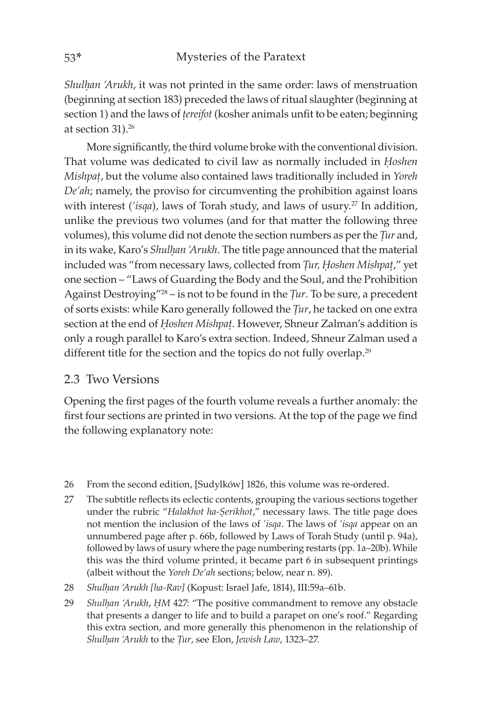*Shulḥan 'Arukh*, it was not printed in the same order: laws of menstruation (beginning at section 183) preceded the laws of ritual slaughter (beginning at section 1) and the laws of *tereifot* (kosher animals unfit to be eaten; beginning at section 31).<sup>26</sup>

More significantly, the third volume broke with the conventional division. That volume was dedicated to civil law as normally included in *Ḥoshen Mishpat*, but the volume also contained laws traditionally included in *Yoreh De'ah*; namely, the proviso for circumventing the prohibition against loans with interest ('isqa), laws of Torah study, and laws of usury.<sup>27</sup> In addition, unlike the previous two volumes (and for that matter the following three volumes), this volume did not denote the section numbers as per the *Tur* and, in its wake, Karo's *Shulhan 'Arukh*. The title page announced that the material included was "from necessary laws, collected from *Tur*, *Hoshen Mishpat*," yet one section – "Laws of Guarding the Body and the Soul, and the Prohibition Against Destroying<sup>"28</sup> – is not to be found in the *Tur*. To be sure, a precedent of sorts exists: while Karo generally followed the *Tur*, he tacked on one extra section at the end of *Hoshen Mishpat*. However, Shneur Zalman's addition is only a rough parallel to Karo's extra section. Indeed, Shneur Zalman used a different title for the section and the topics do not fully overlap.<sup>29</sup>

### 2.3 Two Versions

Opening the first pages of the fourth volume reveals a further anomaly: the first four sections are printed in two versions. At the top of the page we find the following explanatory note:

- 26 From the second edition, [Sudylków] 1826, this volume was re-ordered.
- 27 The subtitle reflects its eclectic contents, grouping the various sections together under the rubric "*Halakhot ha-Ṣerikhot*," necessary laws. The title page does not mention the inclusion of the laws of *'isqa*. The laws of *'isqa* appear on an unnumbered page after p. 66b, followed by Laws of Torah Study (until p. 94a), followed by laws of usury where the page numbering restarts (pp. 1a–20b). While this was the third volume printed, it became part 6 in subsequent printings (albeit without the *Yoreh De'ah* sections; below, near n. 89).
- 28 *Shulḥan 'Arukh [ha-Rav]* (Kopust: Israel Jafe, 1814), III:59a–61b.
- 29 *Shulḥan 'Arukh*, *ḤM* 427: "The positive commandment to remove any obstacle that presents a danger to life and to build a parapet on one's roof." Regarding this extra section, and more generally this phenomenon in the relationship of *Shulḥan 'Arukh* to the *Ûur*, see Elon, *Jewish Law*, 1323–27.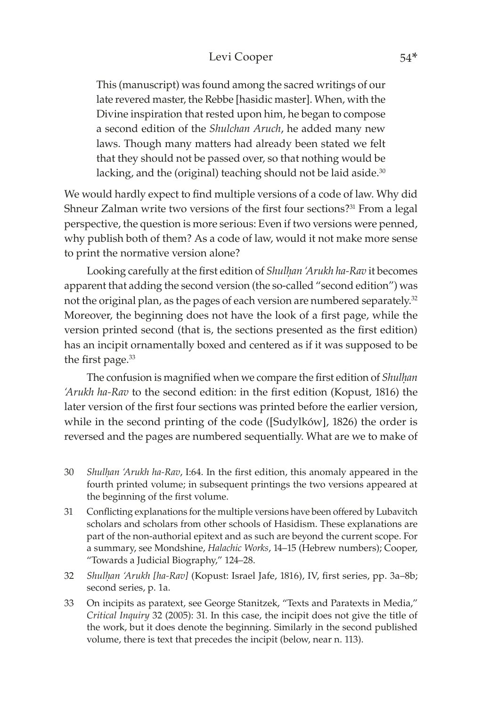#### Levi Cooper 54\*

This (manuscript) was found among the sacred writings of our late revered master, the Rebbe [hasidic master]. When, with the Divine inspiration that rested upon him, he began to compose a second edition of the *Shulchan Aruch*, he added many new laws. Though many matters had already been stated we felt that they should not be passed over, so that nothing would be lacking, and the (original) teaching should not be laid aside.<sup>30</sup>

We would hardly expect to find multiple versions of a code of law. Why did Shneur Zalman write two versions of the first four sections?<sup>31</sup> From a legal perspective, the question is more serious: Even if two versions were penned, why publish both of them? As a code of law, would it not make more sense to print the normative version alone?

Looking carefully at the first edition of *Shulhan 'Arukh ha-Rav* it becomes apparent that adding the second version (the so-called "second edition") was not the original plan, as the pages of each version are numbered separately.<sup>32</sup> Moreover, the beginning does not have the look of a first page, while the version printed second (that is, the sections presented as the first edition) has an incipit ornamentally boxed and centered as if it was supposed to be the first page.<sup>33</sup>

The confusion is magnified when we compare the first edition of *Shulḥan 'Arukh ha-Rav* to the second edition: in the first edition (Kopust, 1816) the later version of the first four sections was printed before the earlier version, while in the second printing of the code ([Sudylków], 1826) the order is reversed and the pages are numbered sequentially. What are we to make of

- 30 *Shulḥan 'Arukh ha-Rav*, I:64. In the first edition, this anomaly appeared in the fourth printed volume; in subsequent printings the two versions appeared at the beginning of the first volume.
- 31 Conflicting explanations for the multiple versions have been offered by Lubavitch scholars and scholars from other schools of Hasidism. These explanations are part of the non-authorial epitext and as such are beyond the current scope. For a summary, see Mondshine, *Halachic Works*, 14–15 (Hebrew numbers); Cooper, "Towards a Judicial Biography," 124–28.
- 32 *Shulḥan 'Arukh [ha-Rav]* (Kopust: Israel Jafe, 1816), IV, first series, pp. 3a–8b; second series, p. 1a.
- 33 On incipits as paratext, see George Stanitzek, "Texts and Paratexts in Media," *Critical Inquiry* 32 (2005): 31. In this case, the incipit does not give the title of the work, but it does denote the beginning. Similarly in the second published volume, there is text that precedes the incipit (below, near n. 113).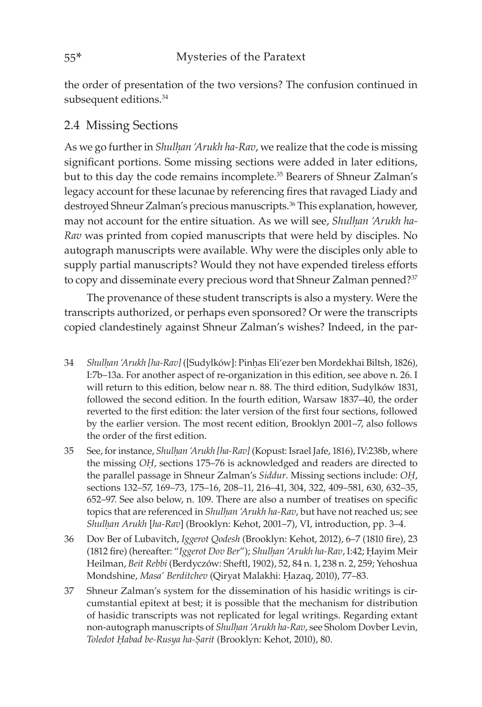the order of presentation of the two versions? The confusion continued in subsequent editions.<sup>34</sup>

# 2.4 Missing Sections

As we go further in *Shulḥan 'Arukh ha-Rav*, we realize that the code is missing significant portions. Some missing sections were added in later editions, but to this day the code remains incomplete.<sup>35</sup> Bearers of Shneur Zalman's legacy account for these lacunae by referencing fires that ravaged Liady and destroyed Shneur Zalman's precious manuscripts.<sup>36</sup> This explanation, however, may not account for the entire situation. As we will see, *Shulhan 'Arukh ha-Rav* was printed from copied manuscripts that were held by disciples. No autograph manuscripts were available. Why were the disciples only able to supply partial manuscripts? Would they not have expended tireless efforts to copy and disseminate every precious word that Shneur Zalman penned?<sup>37</sup>

The provenance of these student transcripts is also a mystery. Were the transcripts authorized, or perhaps even sponsored? Or were the transcripts copied clandestinely against Shneur Zalman's wishes? Indeed, in the par-

- 34 *Shulḥan 'Arukh [ha-Rav]* ([Sudylków]: Pinḥas Eli'ezer ben Mordekhai Biltsh, 1826), I:7b–13a. For another aspect of re-organization in this edition, see above n. 26. I will return to this edition, below near n. 88. The third edition, Sudylków 1831, followed the second edition. In the fourth edition, Warsaw 1837–40, the order reverted to the first edition: the later version of the first four sections, followed by the earlier version. The most recent edition, Brooklyn 2001–7, also follows the order of the first edition.
- 35 See, for instance, *Shulḥan 'Arukh [ha-Rav]* (Kopust: Israel Jafe, 1816), IV:238b, where the missing *OḤ*, sections 175–76 is acknowledged and readers are directed to the parallel passage in Shneur Zalman's *Siddur*. Missing sections include: *OḤ*, sections 132–57, 169–73, 175–16, 208–11, 216–41, 304, 322, 409–581, 630, 632–35, 652–97. See also below, n. 109. There are also a number of treatises on specific topics that are referenced in *Shulḥan 'Arukh ha-Rav*, but have not reached us; see *Shulḥan Arukh* [*ha-Rav*] (Brooklyn: Kehot, 2001–7), VI, introduction, pp. 3–4.
- 36 Dov Ber of Lubavitch, *Iggerot Qodesh* (Brooklyn: Kehot, 2012), 6–7 (1810 fire), 23 (1812 fire) (hereafter: "*Iggerot Dov Ber*"); *Shulḥan 'Arukh ha-Rav*, I:42; Ḥayim Meir Heilman, *Beit Rebbi* (Berdyczów: Sheftl, 1902), 52, 84 n. 1, 238 n. 2, 259; Yehoshua Mondshine, *Masa' Berditchev* (Qiryat Malakhi: Ḥazaq, 2010), 77–83.
- 37 Shneur Zalman's system for the dissemination of his hasidic writings is circumstantial epitext at best; it is possible that the mechanism for distribution of hasidic transcripts was not replicated for legal writings. Regarding extant non-autograph manuscripts of *Shulḥan 'Arukh ha-Rav*, see Sholom Dovber Levin, *Toledot Ḥabad be-Rusya ha-Ṣarit* (Brooklyn: Kehot, 2010), 80.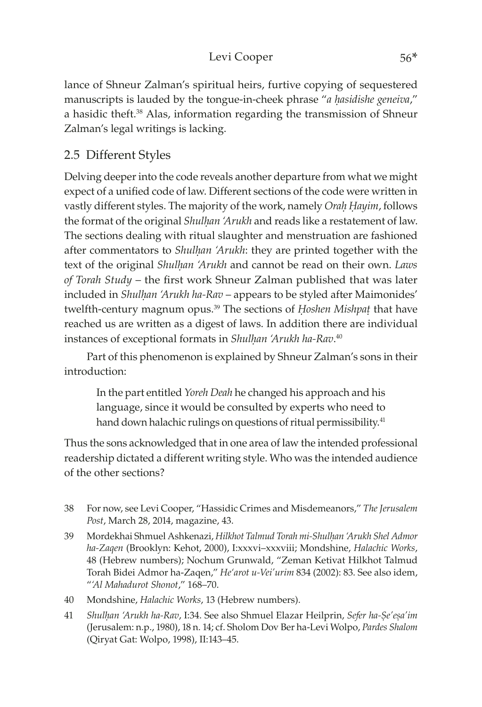# Levi Cooper 56\*

lance of Shneur Zalman's spiritual heirs, furtive copying of sequestered manuscripts is lauded by the tongue-in-cheek phrase "*a hasidishe geneiva*," a hasidic theft.<sup>38</sup> Alas, information regarding the transmission of Shneur Zalman's legal writings is lacking.

# 2.5 Different Styles

Delving deeper into the code reveals another departure from what we might expect of a unified code of law. Different sections of the code were written in vastly different styles. The majority of the work, namely *Oraḥ Ḥayim*, follows the format of the original *Shulhan 'Arukh* and reads like a restatement of law. The sections dealing with ritual slaughter and menstruation are fashioned after commentators to *Shulhan 'Arukh*: they are printed together with the text of the original *Shulḥan 'Arukh* and cannot be read on their own. *Laws of Torah Study* – the first work Shneur Zalman published that was later included in *Shulhan 'Arukh ha-Rav* – appears to be styled after Maimonides' twelfth-century magnum opus.<sup>39</sup> The sections of *Hoshen Mishpat* that have reached us are written as a digest of laws. In addition there are individual instances of exceptional formats in *Shulḥan 'Arukh ha-Rav*. 40

Part of this phenomenon is explained by Shneur Zalman's sons in their introduction:

In the part entitled *Yoreh Deah* he changed his approach and his language, since it would be consulted by experts who need to hand down halachic rulings on questions of ritual permissibility.<sup>41</sup>

Thus the sons acknowledged that in one area of law the intended professional readership dictated a different writing style. Who was the intended audience of the other sections?

- 38 For now, see Levi Cooper, "Hassidic Crimes and Misdemeanors," *The Jerusalem Post*, March 28, 2014, magazine, 43.
- 39 Mordekhai Shmuel Ashkenazi, *Hilkhot Talmud Torah mi-Shulḥan 'Arukh Shel Admor ha-Zaqen* (Brooklyn: Kehot, 2000), I:xxxvi–xxxviii; Mondshine, *Halachic Works*, 48 (Hebrew numbers); Nochum Grunwald, "Zeman Ketivat Hilkhot Talmud Torah Bidei Admor ha-Zaqen," *He'arot u-Vei'urim* 834 (2002): 83. See also idem, "*'Al Mahadurot Shonot*," 168–70.
- 40 Mondshine, *Halachic Works*, 13 (Hebrew numbers).
- 41 *Shulḥan 'Arukh ha-Rav, I:34. See also Shmuel Elazar Heilprin, Sefer ha-Ṣe'eṣa'im* (Jerusalem: n.p., 1980), 18 n. 14; cf. Sholom Dov Ber ha-Levi Wolpo, *Pardes Shalom* (Qiryat Gat: Wolpo, 1998), II:143–45.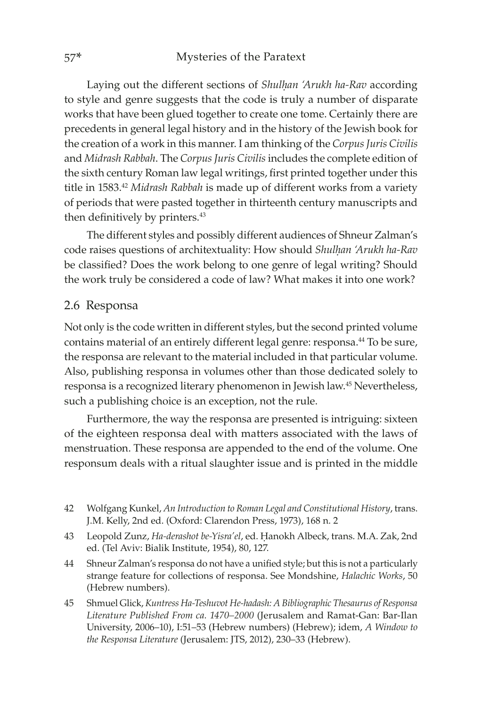Laying out the different sections of *Shulḥan 'Arukh ha-Rav* according to style and genre suggests that the code is truly a number of disparate works that have been glued together to create one tome. Certainly there are precedents in general legal history and in the history of the Jewish book for the creation of a work in this manner. I am thinking of the *Corpus Juris Civilis* and *Midrash Rabbah*. The *Corpus Juris Civilis* includes the complete edition of the sixth century Roman law legal writings, first printed together under this title in 1583.42 *Midrash Rabbah* is made up of different works from a variety of periods that were pasted together in thirteenth century manuscripts and then definitively by printers.<sup>43</sup>

The different styles and possibly different audiences of Shneur Zalman's code raises questions of architextuality: How should *Shulḥan 'Arukh ha-Rav* be classified? Does the work belong to one genre of legal writing? Should the work truly be considered a code of law? What makes it into one work?

#### 2.6 Responsa

Not only is the code written in different styles, but the second printed volume contains material of an entirely different legal genre: responsa.<sup>44</sup> To be sure, the responsa are relevant to the material included in that particular volume. Also, publishing responsa in volumes other than those dedicated solely to responsa is a recognized literary phenomenon in Jewish law.45 Nevertheless, such a publishing choice is an exception, not the rule.

Furthermore, the way the responsa are presented is intriguing: sixteen of the eighteen responsa deal with matters associated with the laws of menstruation. These responsa are appended to the end of the volume. One responsum deals with a ritual slaughter issue and is printed in the middle

- 42 Wolfgang Kunkel, *An Introduction to Roman Legal and Constitutional History*, trans. J.M. Kelly, 2nd ed. (Oxford: Clarendon Press, 1973), 168 n. 2
- 43 Leopold Zunz, *Ha-derashot be-Yisra'el*, ed. Ḥanokh Albeck, trans. M.A. Zak, 2nd ed. (Tel Aviv: Bialik Institute, 1954), 80, 127.
- 44 Shneur Zalman's responsa do not have a unified style; but this is not a particularly strange feature for collections of responsa. See Mondshine, *Halachic Works*, 50 (Hebrew numbers).
- 45 Shmuel Glick, *Kuntress Ha-Teshuvot He-hadash: A Bibliographic Thesaurus of Responsa Literature Published From ca. 1470–2000* (Jerusalem and Ramat-Gan: Bar-Ilan University, 2006–10), I:51–53 (Hebrew numbers) (Hebrew); idem, *A Window to the Responsa Literature* (Jerusalem: JTS, 2012), 230–33 (Hebrew).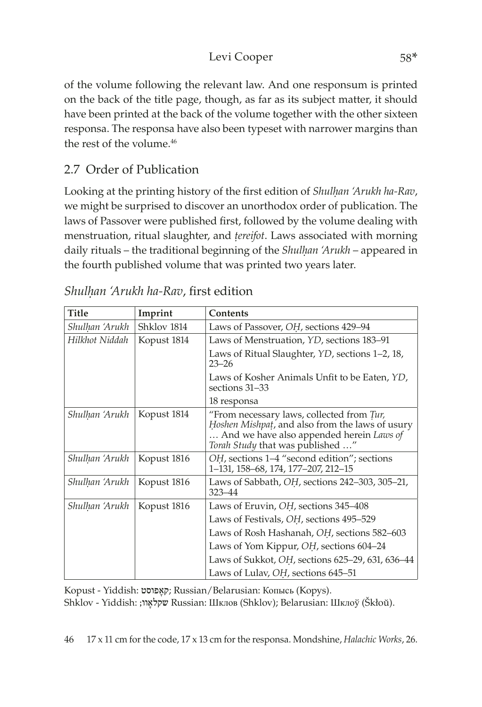# Levi Cooper 58\*

of the volume following the relevant law. And one responsum is printed on the back of the title page, though, as far as its subject matter, it should have been printed at the back of the volume together with the other sixteen responsa. The responsa have also been typeset with narrower margins than the rest of the volume.<sup>46</sup>

# 2.7 Order of Publication

Looking at the printing history of the first edition of *Shulhan 'Arukh ha-Rav*, we might be surprised to discover an unorthodox order of publication. The laws of Passover were published first, followed by the volume dealing with menstruation, ritual slaughter, and *ûereifot*. Laws associated with morning daily rituals – the traditional beginning of the *Shulḥan 'Arukh* – appeared in the fourth published volume that was printed two years later.

| <b>Title</b>   | Imprint     | <b>Contents</b>                                                                                                                                                                     |  |  |
|----------------|-------------|-------------------------------------------------------------------------------------------------------------------------------------------------------------------------------------|--|--|
| Shulhan 'Arukh | Shklov 1814 | Laws of Passover, OH, sections 429–94                                                                                                                                               |  |  |
| Hilkhot Niddah | Kopust 1814 | Laws of Menstruation, YD, sections 183–91                                                                                                                                           |  |  |
|                |             | Laws of Ritual Slaughter, <i>YD</i> , sections 1–2, 18,<br>$23 - 26$                                                                                                                |  |  |
|                |             | Laws of Kosher Animals Unfit to be Eaten, YD,<br>sections 31-33                                                                                                                     |  |  |
|                |             | 18 responsa                                                                                                                                                                         |  |  |
| Shulhan 'Arukh | Kopust 1814 | "From necessary laws, collected from Tur,<br><i>Hoshen Mishpat,</i> and also from the laws of usury<br>And we have also appended herein Laws of<br>Torah Study that was published " |  |  |
| Shulhan 'Arukh | Kopust 1816 | OH, sections 1–4 "second edition"; sections<br>1–131, 158–68, 174, 177–207, 212–15                                                                                                  |  |  |
| Shulhan 'Arukh | Kopust 1816 | Laws of Sabbath, OH, sections 242-303, 305-21,<br>$323 - 44$                                                                                                                        |  |  |
| Shulhan 'Arukh | Kopust 1816 | Laws of Eruvin, OH, sections 345-408                                                                                                                                                |  |  |
|                |             | Laws of Festivals, OH, sections 495-529                                                                                                                                             |  |  |
|                |             | Laws of Rosh Hashanah, OH, sections 582–603                                                                                                                                         |  |  |
|                |             | Laws of Yom Kippur, OH, sections 604–24                                                                                                                                             |  |  |
|                |             | Laws of Sukkot, OH, sections 625-29, 631, 636-44                                                                                                                                    |  |  |
|                |             | Laws of Lulav, OH, sections 645-51                                                                                                                                                  |  |  |

| Shulhan 'Arukh ha-Rav, first edition |  |  |
|--------------------------------------|--|--|

Kopust - Yiddish: פוסט ָקא ;Russian/Belarusian: Копысь (Kopys).

Shklov - Yiddish: ;וו ָשקלא Russian: Шклов (Shklov); Belarusian: Шклоў (Škłoŭ).

46 17 x 11 cm for the code, 17 x 13 cm for the responsa. Mondshine, *Halachic Works*, 26.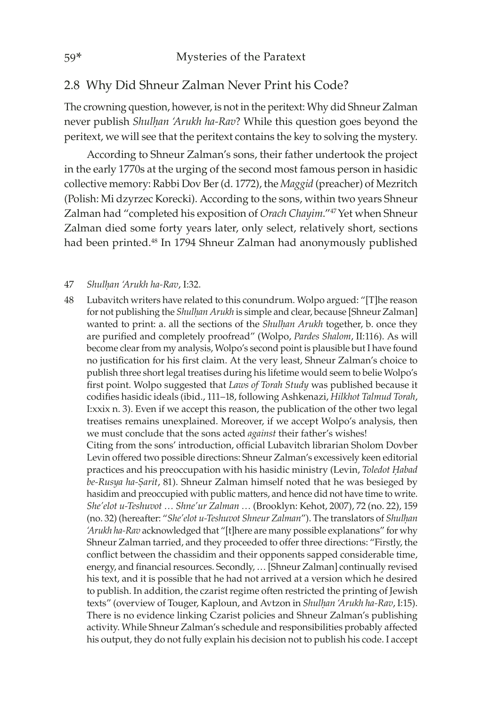### 2.8 Why Did Shneur Zalman Never Print his Code?

The crowning question, however, is not in the peritext: Why did Shneur Zalman never publish *Shulhan 'Arukh ha-Rav*? While this question goes beyond the peritext, we will see that the peritext contains the key to solving the mystery.

According to Shneur Zalman's sons, their father undertook the project in the early 1770s at the urging of the second most famous person in hasidic collective memory: Rabbi Dov Ber (d. 1772), the *Maggid* (preacher) of Mezritch (Polish: Mi dzyrzec Korecki). According to the sons, within two years Shneur Zalman had "completed his exposition of *Orach Chayim*."<sup>47</sup> Yet when Shneur Zalman died some forty years later, only select, relatively short, sections had been printed.<sup>48</sup> In 1794 Shneur Zalman had anonymously published

#### 47 *Shulḥan 'Arukh ha-Rav*, I:32.

48 Lubavitch writers have related to this conundrum. Wolpo argued: "[T]he reason for not publishing the *Shulḥan Arukh* is simple and clear, because [Shneur Zalman] wanted to print: a. all the sections of the *Shulhan Arukh* together, b. once they are purified and completely proofread" (Wolpo, *Pardes Shalom*, II:116). As will become clear from my analysis, Wolpo's second point is plausible but I have found no justification for his first claim. At the very least, Shneur Zalman's choice to publish three short legal treatises during his lifetime would seem to belie Wolpo's first point. Wolpo suggested that *Laws of Torah Study* was published because it codifies hasidic ideals (ibid., 111–18, following Ashkenazi, *Hilkhot Talmud Torah*, I:xxix n. 3). Even if we accept this reason, the publication of the other two legal treatises remains unexplained. Moreover, if we accept Wolpo's analysis, then we must conclude that the sons acted *against* their father's wishes! Citing from the sons' introduction, official Lubavitch librarian Sholom Dovber Levin offered two possible directions: Shneur Zalman's excessively keen editorial

practices and his preoccupation with his hasidic ministry (Levin, *Toledot Ḥabad be-Rusya ha-Ṣarit*, 81). Shneur Zalman himself noted that he was besieged by hasidim and preoccupied with public matters, and hence did not have time to write. *She'elot u-Teshuvot … Shne'ur Zalman …* (Brooklyn: Kehot, 2007), 72 (no. 22), 159 (no. 32) (hereafter: "*She'elot u-Teshuvot Shneur Zalman*"). The translators of *Shulḥan 'Arukh ha-Rav* acknowledged that "[t]here are many possible explanations" for why Shneur Zalman tarried, and they proceeded to offer three directions: "Firstly, the conflict between the chassidim and their opponents sapped considerable time, energy, and financial resources. Secondly, … [Shneur Zalman] continually revised his text, and it is possible that he had not arrived at a version which he desired to publish. In addition, the czarist regime often restricted the printing of Jewish texts" (overview of Touger, Kaploun, and Avtzon in *Shulḥan 'Arukh ha-Rav*, I:15). There is no evidence linking Czarist policies and Shneur Zalman's publishing activity. While Shneur Zalman's schedule and responsibilities probably affected his output, they do not fully explain his decision not to publish his code. I accept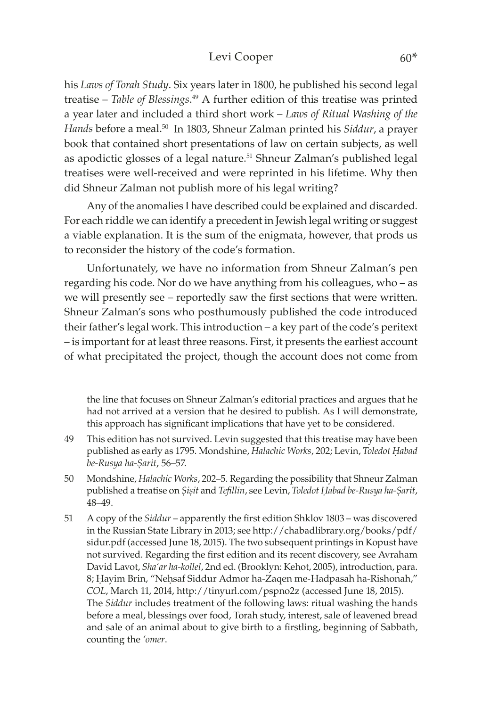#### Levi Cooper 60\*

his *Laws of Torah Study*. Six years later in 1800, he published his second legal treatise – *Table of Blessings*. 49 A further edition of this treatise was printed a year later and included a third short work – *Laws of Ritual Washing of the Hands* before a meal.50 In 1803, Shneur Zalman printed his *Siddur*, a prayer book that contained short presentations of law on certain subjects, as well as apodictic glosses of a legal nature.<sup>51</sup> Shneur Zalman's published legal treatises were well-received and were reprinted in his lifetime. Why then did Shneur Zalman not publish more of his legal writing?

Any of the anomalies I have described could be explained and discarded. For each riddle we can identify a precedent in Jewish legal writing or suggest a viable explanation. It is the sum of the enigmata, however, that prods us to reconsider the history of the code's formation.

Unfortunately, we have no information from Shneur Zalman's pen regarding his code. Nor do we have anything from his colleagues, who – as we will presently see – reportedly saw the first sections that were written. Shneur Zalman's sons who posthumously published the code introduced their father's legal work. This introduction – a key part of the code's peritext – is important for at least three reasons. First, it presents the earliest account of what precipitated the project, though the account does not come from

the line that focuses on Shneur Zalman's editorial practices and argues that he had not arrived at a version that he desired to publish. As I will demonstrate, this approach has significant implications that have yet to be considered.

- 49 This edition has not survived. Levin suggested that this treatise may have been published as early as 1795. Mondshine, *Halachic Works*, 202; Levin, *Toledot Ḥabad be-Rusya ha-Ṣarit*, 56–57.
- 50 Mondshine, *Halachic Works*, 202–5. Regarding the possibility that Shneur Zalman published a treatise on *Ṣiṣit* and *Tefillin*, see Levin, *Toledot Ḥabad be-Rusya ha-Ṣarit*, 48–49.
- 51 A copy of the *Siddur* apparently the first edition Shklov 1803 was discovered in the Russian State Library in 2013; see [http://chabadlibrary.org/books/pdf/](http://chabadlibrary.org/books/pdf/sidur.pdf) [sidur.pdf](http://chabadlibrary.org/books/pdf/sidur.pdf) (accessed June 18, 2015). The two subsequent printings in Kopust have not survived. Regarding the first edition and its recent discovery, see Avraham David Lavot, *Sha'ar ha-kollel*, 2nd ed. (Brooklyn: Kehot, 2005), introduction, para. 8; Ḥayim Brin, "Neḥsaf Siddur Admor ha-Zaqen me-Hadpasah ha-Rishonah," *COL*, March 11, 2014, <http://tinyurl.com/pspno2z> (accessed June 18, 2015). The *Siddur* includes treatment of the following laws: ritual washing the hands before a meal, blessings over food, Torah study, interest, sale of leavened bread and sale of an animal about to give birth to a firstling, beginning of Sabbath, counting the *'omer*.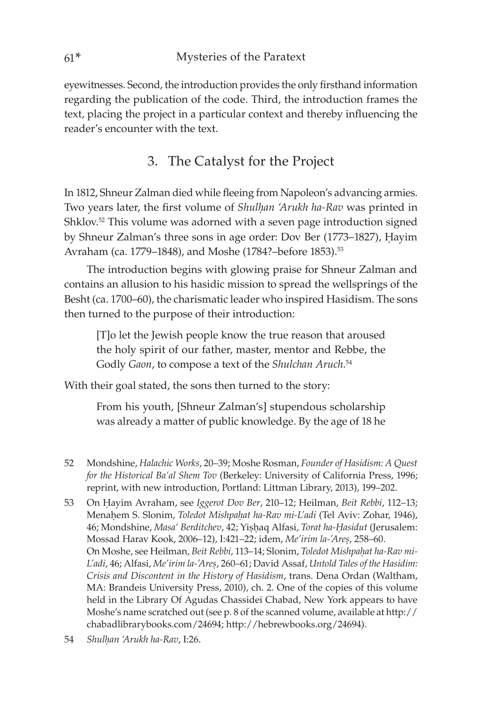eyewitnesses. Second, the introduction provides the only firsthand information regarding the publication of the code. Third, the introduction frames the text, placing the project in a particular context and thereby influencing the reader's encounter with the text.

3. The Catalyst for the Project

In 1812, Shneur Zalman died while fleeing from Napoleon's advancing armies. Two years later, the first volume of *Shulhan 'Arukh ha-Rav* was printed in Shklov.<sup>52</sup> This volume was adorned with a seven page introduction signed by Shneur Zalman's three sons in age order: Dov Ber (1773–1827), Ḥayim Avraham (ca. 1779–1848), and Moshe (1784?–before 1853).<sup>53</sup>

The introduction begins with glowing praise for Shneur Zalman and contains an allusion to his hasidic mission to spread the wellsprings of the Besht (ca. 1700–60), the charismatic leader who inspired Hasidism. The sons then turned to the purpose of their introduction:

[T]o let the Jewish people know the true reason that aroused the holy spirit of our father, master, mentor and Rebbe, the Godly *Gaon*, to compose a text of the *Shulchan Aruch*. 54

With their goal stated, the sons then turned to the story:

From his youth, [Shneur Zalman's] stupendous scholarship was already a matter of public knowledge. By the age of 18 he

- 52 Mondshine, *Halachic Works*, 20–39; Moshe Rosman, *Founder of Hasidism: A Quest for the Historical Ba'al Shem Tov* (Berkeley: University of California Press, 1996; reprint, with new introduction, Portland: Littman Library, 2013), 199–202.
- 53 On Ḥayim Avraham, see *Iggerot Dov Ber*, 210–12; Heilman, *Beit Rebbi*, 112–13; Menaḥem S. Slonim, *Toledot Mishpaḥat ha-Rav mi-L'adi* (Tel Aviv: Zohar, 1946), 46; Mondshine, *Masa' Berditchev*, 42; Yiṣḥaq Alfasi, *Torat ha-Ḥasidut* (Jerusalem: Mossad Harav Kook, 2006–12), I:421–22; idem, *Me'irim la-'Areṣ*, 258–60. On Moshe, see Heilman, *Beit Rebbi*, 113–14; Slonim, *Toledot Mishpaḥat ha-Rav mi-L'adi*, 46; Alfasi, *Me'irim la-'Areṣ*, 260–61; David Assaf, *Untold Tales of the Hasidim: Crisis and Discontent in the History of Hasidism*, trans. Dena Ordan (Waltham, MA: Brandeis University Press, 2010), ch. 2. One of the copies of this volume held in the Library Of Agudas Chassidei Chabad, New York appears to have Moshe's name scratched out (see p. 8 of the scanned volume, available at [http://](http://chabadlibrarybooks.com/24694) [chabadlibrarybooks.com/24694](http://chabadlibrarybooks.com/24694); http://hebrewbooks.org/24694).
- 54 *Shulḥan 'Arukh ha-Rav*, I:26.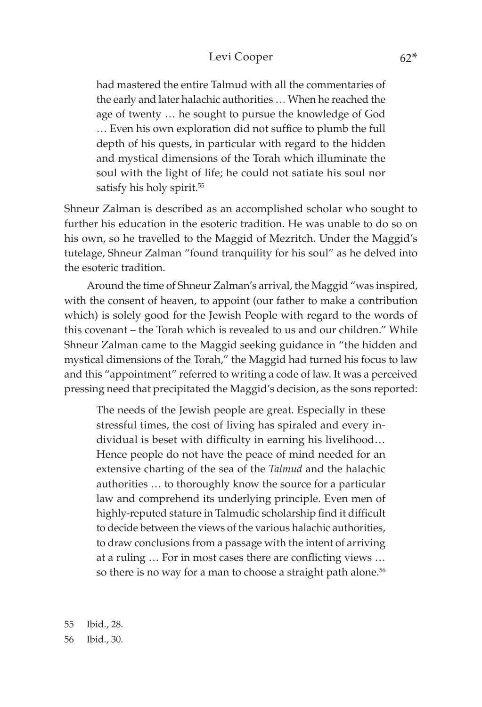#### Levi Cooper 62\*

had mastered the entire Talmud with all the commentaries of the early and later halachic authorities … When he reached the age of twenty … he sought to pursue the knowledge of God … Even his own exploration did not suffice to plumb the full depth of his quests, in particular with regard to the hidden and mystical dimensions of the Torah which illuminate the soul with the light of life; he could not satiate his soul nor satisfy his holy spirit.<sup>55</sup>

Shneur Zalman is described as an accomplished scholar who sought to further his education in the esoteric tradition. He was unable to do so on his own, so he travelled to the Maggid of Mezritch. Under the Maggid's tutelage, Shneur Zalman "found tranquility for his soul" as he delved into the esoteric tradition.

Around the time of Shneur Zalman's arrival, the Maggid "was inspired, with the consent of heaven, to appoint (our father to make a contribution which) is solely good for the Jewish People with regard to the words of this covenant – the Torah which is revealed to us and our children." While Shneur Zalman came to the Maggid seeking guidance in "the hidden and mystical dimensions of the Torah," the Maggid had turned his focus to law and this "appointment" referred to writing a code of law. It was a perceived pressing need that precipitated the Maggid's decision, as the sons reported:

The needs of the Jewish people are great. Especially in these stressful times, the cost of living has spiraled and every individual is beset with difficulty in earning his livelihood… Hence people do not have the peace of mind needed for an extensive charting of the sea of the *Talmud* and the halachic authorities … to thoroughly know the source for a particular law and comprehend its underlying principle. Even men of highly-reputed stature in Talmudic scholarship find it difficult to decide between the views of the various halachic authorities, to draw conclusions from a passage with the intent of arriving at a ruling … For in most cases there are conflicting views … so there is no way for a man to choose a straight path alone.<sup>56</sup>

55 Ibid., 28. 56 Ibid., 30.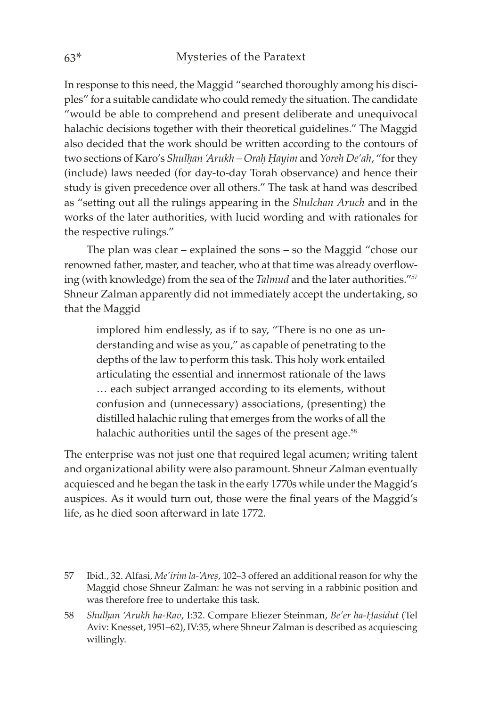In response to this need, the Maggid "searched thoroughly among his disciples" for a suitable candidate who could remedy the situation. The candidate "would be able to comprehend and present deliberate and unequivocal halachic decisions together with their theoretical guidelines." The Maggid also decided that the work should be written according to the contours of two sections of Karo's *Shulḥan 'Arukh* – *Oraḥ Ḥayim* and *Yoreh De'ah*, "for they (include) laws needed (for day-to-day Torah observance) and hence their study is given precedence over all others." The task at hand was described as "setting out all the rulings appearing in the *Shulchan Aruch* and in the works of the later authorities, with lucid wording and with rationales for the respective rulings."

The plan was clear – explained the sons – so the Maggid "chose our renowned father, master, and teacher, who at that time was already overflowing (with knowledge) from the sea of the *Talmud* and the later authorities."57 Shneur Zalman apparently did not immediately accept the undertaking, so that the Maggid

implored him endlessly, as if to say, "There is no one as understanding and wise as you," as capable of penetrating to the depths of the law to perform this task. This holy work entailed articulating the essential and innermost rationale of the laws … each subject arranged according to its elements, without confusion and (unnecessary) associations, (presenting) the distilled halachic ruling that emerges from the works of all the halachic authorities until the sages of the present age.<sup>58</sup>

The enterprise was not just one that required legal acumen; writing talent and organizational ability were also paramount. Shneur Zalman eventually acquiesced and he began the task in the early 1770s while under the Maggid's auspices. As it would turn out, those were the final years of the Maggid's life, as he died soon afterward in late 1772.

- 57 Ibid., 32. Alfasi, *Me'irim la-'Areṣ*, 102–3 offered an additional reason for why the Maggid chose Shneur Zalman: he was not serving in a rabbinic position and was therefore free to undertake this task.
- 58 *Shulḥan 'Arukh ha-Rav*, I:32. Compare Eliezer Steinman, *Be'er ha-Ḥasidut* (Tel Aviv: Knesset, 1951–62), IV:35, where Shneur Zalman is described as acquiescing willingly.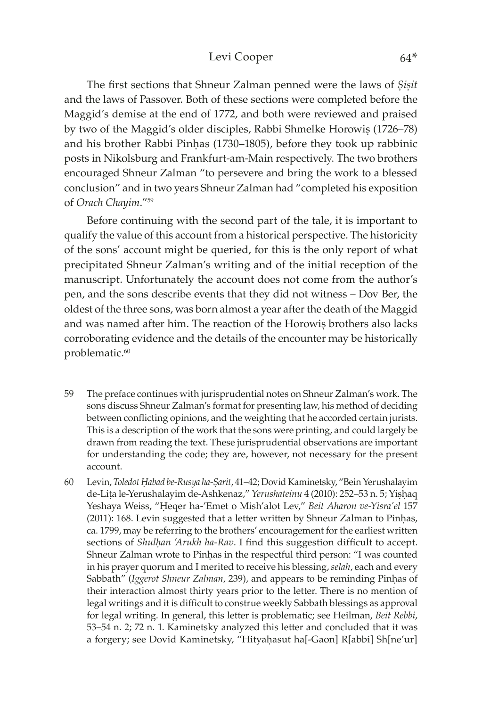#### Levi Cooper 64\*

The first sections that Shneur Zalman penned were the laws of *Ṣiṣit* and the laws of Passover. Both of these sections were completed before the Maggid's demise at the end of 1772, and both were reviewed and praised by two of the Maggid's older disciples, Rabbi Shmelke Horowiṣ (1726–78) and his brother Rabbi Pinhas (1730–1805), before they took up rabbinic posts in Nikolsburg and Frankfurt-am-Main respectively. The two brothers encouraged Shneur Zalman "to persevere and bring the work to a blessed conclusion" and in two years Shneur Zalman had "completed his exposition of *Orach Chayim*."59

Before continuing with the second part of the tale, it is important to qualify the value of this account from a historical perspective. The historicity of the sons' account might be queried, for this is the only report of what precipitated Shneur Zalman's writing and of the initial reception of the manuscript. Unfortunately the account does not come from the author's pen, and the sons describe events that they did not witness – Dov Ber, the oldest of the three sons, was born almost a year after the death of the Maggid and was named after him. The reaction of the Horowis brothers also lacks corroborating evidence and the details of the encounter may be historically problematic.<sup>60</sup>

- 59 The preface continues with jurisprudential notes on Shneur Zalman's work. The sons discuss Shneur Zalman's format for presenting law, his method of deciding between conflicting opinions, and the weighting that he accorded certain jurists. This is a description of the work that the sons were printing, and could largely be drawn from reading the text. These jurisprudential observations are important for understanding the code; they are, however, not necessary for the present account.
- 60 Levin, *Toledot Ḥabad be-Rusya ha-Ṣarit*, 41–42; Dovid Kaminetsky, "Bein Yerushalayim de-Lița le-Yerushalayim de-Ashkenaz," *Yerushateinu* 4 (2010): 252–53 n. 5; Yiṣḥaq Yeshaya Weiss, "Ḥeqer ha-'Emet o Mish'alot Lev," *Beit Aharon ve-Yisra'el* 157 (2011): 168. Levin suggested that a letter written by Shneur Zalman to Pinḥas, ca. 1799, may be referring to the brothers' encouragement for the earliest written sections of *Shulhan 'Arukh ha-Rav*. I find this suggestion difficult to accept. Shneur Zalman wrote to Pinḥas in the respectful third person: "I was counted in his prayer quorum and I merited to receive his blessing, *selah*, each and every Sabbath" (*Iggerot Shneur Zalman*, 239), and appears to be reminding Pinḥas of their interaction almost thirty years prior to the letter. There is no mention of legal writings and it is difficult to construe weekly Sabbath blessings as approval for legal writing. In general, this letter is problematic; see Heilman, *Beit Rebbi*, 53–54 n. 2; 72 n. 1. Kaminetsky analyzed this letter and concluded that it was a forgery; see Dovid Kaminetsky, "Hityaḥasut ha[-Gaon] R[abbi] Sh[ne'ur]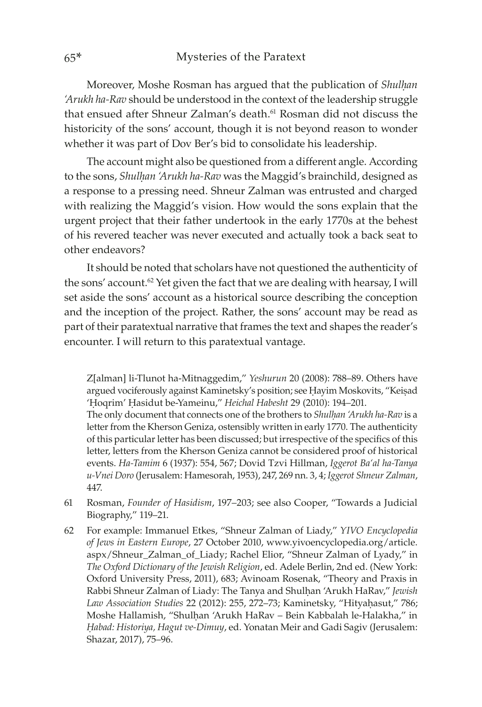Moreover, Moshe Rosman has argued that the publication of *Shulḥan 'Arukh ha-Rav* should be understood in the context of the leadership struggle that ensued after Shneur Zalman's death.<sup>61</sup> Rosman did not discuss the historicity of the sons' account, though it is not beyond reason to wonder whether it was part of Dov Ber's bid to consolidate his leadership.

The account might also be questioned from a different angle. According to the sons, *Shulḥan 'Arukh ha-Rav* was the Maggid's brainchild, designed as a response to a pressing need. Shneur Zalman was entrusted and charged with realizing the Maggid's vision. How would the sons explain that the urgent project that their father undertook in the early 1770s at the behest of his revered teacher was never executed and actually took a back seat to other endeavors?

It should be noted that scholars have not questioned the authenticity of the sons' account.<sup>62</sup> Yet given the fact that we are dealing with hearsay, I will set aside the sons' account as a historical source describing the conception and the inception of the project. Rather, the sons' account may be read as part of their paratextual narrative that frames the text and shapes the reader's encounter. I will return to this paratextual vantage.

Z[alman] li-Tlunot ha-Mitnaggedim," *Yeshurun* 20 (2008): 788–89. Others have argued vociferously against Kaminetsky's position; see Ḥayim Moskovits, "Keiṣad 'Ḥoqrim' Ḥasidut be-Yameinu," *Heichal Habesht* 29 (2010): 194–201.

The only document that connects one of the brothers to *Shulhan 'Arukh ha-Rav* is a letter from the Kherson Geniza, ostensibly written in early 1770. The authenticity of this particular letter has been discussed; but irrespective of the specifics of this letter, letters from the Kherson Geniza cannot be considered proof of historical events. *Ha-Tamim* 6 (1937): 554, 567; Dovid Tzvi Hillman, *Iggerot Ba'al ha-Tanya u-Vnei Doro* (Jerusalem: Hamesorah, 1953), 247, 269 nn. 3, 4; *Iggerot Shneur Zalman*, 447.

- 61 Rosman, *Founder of Hasidism*, 197–203; see also Cooper, "Towards a Judicial Biography," 119–21.
- 62 For example: Immanuel Etkes, "Shneur Zalman of Liady," *YIVO Encyclopedia of Jews in Eastern Europe*, 27 October 2010, [www.yivoencyclopedia.org/article.](http://www.yivoencyclopedia.org/article.aspx/Shneur_Zalman_of_Liady) [aspx/Shneur\\_Zalman\\_of\\_Liady](http://www.yivoencyclopedia.org/article.aspx/Shneur_Zalman_of_Liady); Rachel Elior, "Shneur Zalman of Lyady," in *The Oxford Dictionary of the Jewish Religion*, ed. Adele Berlin, 2nd ed. (New York: Oxford University Press, 2011), 683; Avinoam Rosenak, "Theory and Praxis in Rabbi Shneur Zalman of Liady: The Tanya and Shulḥan 'Arukh HaRav," *Jewish Law Association Studies* 22 (2012): 255, 272–73; Kaminetsky, "Hityaḥasut," 786; Moshe Hallamish, "Shulḥan 'Arukh HaRav – Bein Kabbalah le-Halakha," in *Êabad: Historiya, Hagut ve-Dimuy*, ed. Yonatan Meir and Gadi Sagiv (Jerusalem: Shazar, 2017), 75–96.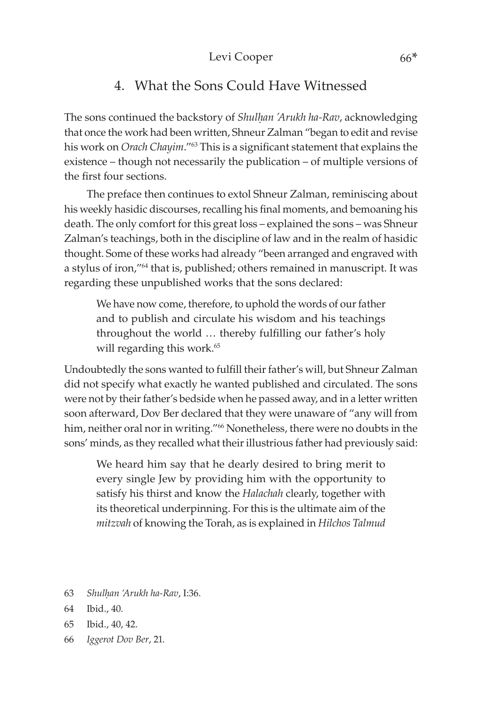# 4. What the Sons Could Have Witnessed

The sons continued the backstory of *Shulhan 'Arukh ha-Rav*, acknowledging that once the work had been written, Shneur Zalman "began to edit and revise his work on *Orach Chayim*."63 This is a significant statement that explains the existence – though not necessarily the publication – of multiple versions of the first four sections.

The preface then continues to extol Shneur Zalman, reminiscing about his weekly hasidic discourses, recalling his final moments, and bemoaning his death. The only comfort for this great loss – explained the sons – was Shneur Zalman's teachings, both in the discipline of law and in the realm of hasidic thought. Some of these works had already "been arranged and engraved with a stylus of iron,"64 that is, published; others remained in manuscript. It was regarding these unpublished works that the sons declared:

We have now come, therefore, to uphold the words of our father and to publish and circulate his wisdom and his teachings throughout the world … thereby fulfilling our father's holy will regarding this work.<sup>65</sup>

Undoubtedly the sons wanted to fulfill their father's will, but Shneur Zalman did not specify what exactly he wanted published and circulated. The sons were not by their father's bedside when he passed away, and in a letter written soon afterward, Dov Ber declared that they were unaware of "any will from him, neither oral nor in writing."<sup>66</sup> Nonetheless, there were no doubts in the sons' minds, as they recalled what their illustrious father had previously said:

We heard him say that he dearly desired to bring merit to every single Jew by providing him with the opportunity to satisfy his thirst and know the *Halachah* clearly, together with its theoretical underpinning. For this is the ultimate aim of the *mitzvah* of knowing the Torah, as is explained in *Hilchos Talmud* 

63 *Shulḥan 'Arukh ha-Rav*, I:36.

- 65 Ibid., 40, 42.
- 66 *Iggerot Dov Ber*, 21.

<sup>64</sup> Ibid., 40.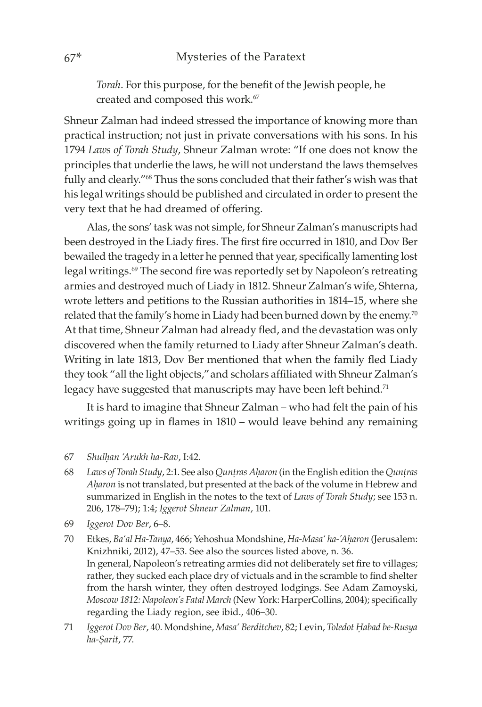*Torah*. For this purpose, for the benefit of the Jewish people, he created and composed this work.<sup>67</sup>

Shneur Zalman had indeed stressed the importance of knowing more than practical instruction; not just in private conversations with his sons. In his 1794 *Laws of Torah Study*, Shneur Zalman wrote: "If one does not know the principles that underlie the laws, he will not understand the laws themselves fully and clearly."68 Thus the sons concluded that their father's wish was that his legal writings should be published and circulated in order to present the very text that he had dreamed of offering.

Alas, the sons' task was not simple, for Shneur Zalman's manuscripts had been destroyed in the Liady fires. The first fire occurred in 1810, and Dov Ber bewailed the tragedy in a letter he penned that year, specifically lamenting lost legal writings.<sup>69</sup> The second fire was reportedly set by Napoleon's retreating armies and destroyed much of Liady in 1812. Shneur Zalman's wife, Shterna, wrote letters and petitions to the Russian authorities in 1814–15, where she related that the family's home in Liady had been burned down by the enemy.<sup>70</sup> At that time, Shneur Zalman had already fled, and the devastation was only discovered when the family returned to Liady after Shneur Zalman's death. Writing in late 1813, Dov Ber mentioned that when the family fled Liady they took "all the light objects,"and scholars affiliated with Shneur Zalman's legacy have suggested that manuscripts may have been left behind.<sup>71</sup>

It is hard to imagine that Shneur Zalman – who had felt the pain of his writings going up in flames in 1810 – would leave behind any remaining

- 68 Laws of Torah Study, 2:1. See also *Quntras Aharon* (in the English edition the *Quntras Aḥaron* is not translated, but presented at the back of the volume in Hebrew and summarized in English in the notes to the text of *Laws of Torah Study*; see 153 n. 206, 178–79); 1:4; *Iggerot Shneur Zalman*, 101.
- 69 *Iggerot Dov Ber*, 6–8.
- 70 Etkes, *Ba'al Ha-Tanya*, 466; Yehoshua Mondshine, *Ha-Masa' ha-'Aḥaron* (Jerusalem: Knizhniki, 2012), 47–53. See also the sources listed above, n. 36. In general, Napoleon's retreating armies did not deliberately set fire to villages; rather, they sucked each place dry of victuals and in the scramble to find shelter from the harsh winter, they often destroyed lodgings. See Adam Zamoyski, *Moscow 1812: Napoleon's Fatal March* (New York: HarperCollins, 2004); specifically regarding the Liady region, see ibid., 406–30.
- 71 *Iggerot Dov Ber*, 40. Mondshine, *Masa' Berditchev*, 82; Levin, *Toledot Ḥabad be-Rusya ha-Ṣarit*, 77.

<sup>67</sup> *Shulḥan 'Arukh ha-Rav*, I:42.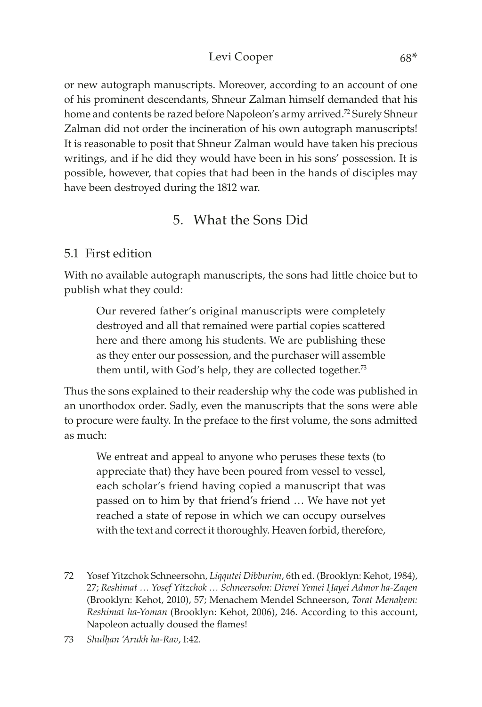### Levi Cooper 68\*

or new autograph manuscripts. Moreover, according to an account of one of his prominent descendants, Shneur Zalman himself demanded that his home and contents be razed before Napoleon's army arrived.<sup>72</sup> Surely Shneur Zalman did not order the incineration of his own autograph manuscripts! It is reasonable to posit that Shneur Zalman would have taken his precious writings, and if he did they would have been in his sons' possession. It is possible, however, that copies that had been in the hands of disciples may have been destroyed during the 1812 war.

# 5. What the Sons Did

### 5.1 First edition

With no available autograph manuscripts, the sons had little choice but to publish what they could:

Our revered father's original manuscripts were completely destroyed and all that remained were partial copies scattered here and there among his students. We are publishing these as they enter our possession, and the purchaser will assemble them until, with God's help, they are collected together.<sup>73</sup>

Thus the sons explained to their readership why the code was published in an unorthodox order. Sadly, even the manuscripts that the sons were able to procure were faulty. In the preface to the first volume, the sons admitted as much:

We entreat and appeal to anyone who peruses these texts (to appreciate that) they have been poured from vessel to vessel, each scholar's friend having copied a manuscript that was passed on to him by that friend's friend … We have not yet reached a state of repose in which we can occupy ourselves with the text and correct it thoroughly. Heaven forbid, therefore,

<sup>72</sup> Yosef Yitzchok Schneersohn, *Liqqutei Dibburim*, 6th ed. (Brooklyn: Kehot, 1984), 27; *Reshimat … Yosef Yitzchok … Schneersohn: Divrei Yemei Ḥayei Admor ha-Zaqen* (Brooklyn: Kehot, 2010), 57; Menachem Mendel Schneerson, *Torat Menaḥem: Reshimat ha-Yoman* (Brooklyn: Kehot, 2006), 246. According to this account, Napoleon actually doused the flames!

<sup>73</sup> *Shulḥan 'Arukh ha-Rav*, I:42.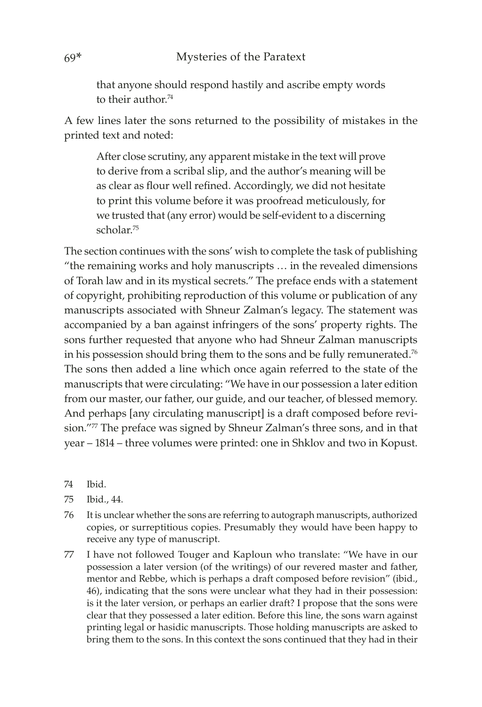that anyone should respond hastily and ascribe empty words to their author<sup>74</sup>

A few lines later the sons returned to the possibility of mistakes in the printed text and noted:

After close scrutiny, any apparent mistake in the text will prove to derive from a scribal slip, and the author's meaning will be as clear as flour well refined. Accordingly, we did not hesitate to print this volume before it was proofread meticulously, for we trusted that (any error) would be self-evident to a discerning scholar.75

The section continues with the sons' wish to complete the task of publishing "the remaining works and holy manuscripts … in the revealed dimensions of Torah law and in its mystical secrets." The preface ends with a statement of copyright, prohibiting reproduction of this volume or publication of any manuscripts associated with Shneur Zalman's legacy. The statement was accompanied by a ban against infringers of the sons' property rights. The sons further requested that anyone who had Shneur Zalman manuscripts in his possession should bring them to the sons and be fully remunerated.<sup>76</sup> The sons then added a line which once again referred to the state of the manuscripts that were circulating: "We have in our possession a later edition from our master, our father, our guide, and our teacher, of blessed memory. And perhaps [any circulating manuscript] is a draft composed before revision."77 The preface was signed by Shneur Zalman's three sons, and in that year – 1814 – three volumes were printed: one in Shklov and two in Kopust.

74 Ibid.

- 75 Ibid., 44.
- 76 It is unclear whether the sons are referring to autograph manuscripts, authorized copies, or surreptitious copies. Presumably they would have been happy to receive any type of manuscript.
- 77 I have not followed Touger and Kaploun who translate: "We have in our possession a later version (of the writings) of our revered master and father, mentor and Rebbe, which is perhaps a draft composed before revision" (ibid., 46), indicating that the sons were unclear what they had in their possession: is it the later version, or perhaps an earlier draft? I propose that the sons were clear that they possessed a later edition. Before this line, the sons warn against printing legal or hasidic manuscripts. Those holding manuscripts are asked to bring them to the sons. In this context the sons continued that they had in their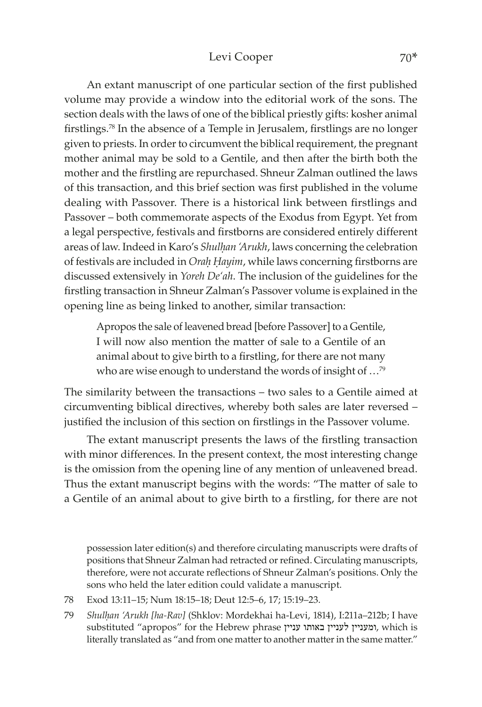#### Levi Cooper 70\*

An extant manuscript of one particular section of the first published volume may provide a window into the editorial work of the sons. The section deals with the laws of one of the biblical priestly gifts: kosher animal firstlings.<sup>78</sup> In the absence of a Temple in Jerusalem, firstlings are no longer given to priests. In order to circumvent the biblical requirement, the pregnant mother animal may be sold to a Gentile, and then after the birth both the mother and the firstling are repurchased. Shneur Zalman outlined the laws of this transaction, and this brief section was first published in the volume dealing with Passover. There is a historical link between firstlings and Passover – both commemorate aspects of the Exodus from Egypt. Yet from a legal perspective, festivals and firstborns are considered entirely different areas of law. Indeed in Karo's *Shulhan 'Arukh*, laws concerning the celebration of festivals are included in *Oraḥ Ḥayim*, while laws concerning firstborns are discussed extensively in *Yoreh De'ah*. The inclusion of the guidelines for the firstling transaction in Shneur Zalman's Passover volume is explained in the opening line as being linked to another, similar transaction:

Apropos the sale of leavened bread [before Passover] to a Gentile, I will now also mention the matter of sale to a Gentile of an animal about to give birth to a firstling, for there are not many who are wise enough to understand the words of insight of …79

The similarity between the transactions – two sales to a Gentile aimed at circumventing biblical directives, whereby both sales are later reversed – justified the inclusion of this section on firstlings in the Passover volume.

The extant manuscript presents the laws of the firstling transaction with minor differences. In the present context, the most interesting change is the omission from the opening line of any mention of unleavened bread. Thus the extant manuscript begins with the words: "The matter of sale to a Gentile of an animal about to give birth to a firstling, for there are not

possession later edition(s) and therefore circulating manuscripts were drafts of positions that Shneur Zalman had retracted or refined. Circulating manuscripts, therefore, were not accurate reflections of Shneur Zalman's positions. Only the sons who held the later edition could validate a manuscript.

- 78 Exod 13:11–15; Num 18:15–18; Deut 12:5–6, 17; 15:19–23.
- 79 *Shulḥan 'Arukh [ha-Rav]* (Shklov: Mordekhai ha-Levi, 1814), I:211a–212b; I have substituted "apropos" for the Hebrew phrase עניין באותו לעניין ומעניין, which is literally translated as "and from one matter to another matter in the same matter."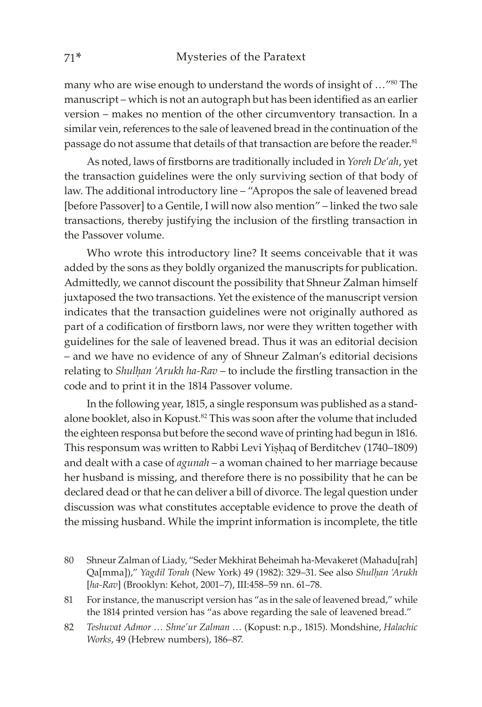many who are wise enough to understand the words of insight of ..."<sup>80</sup> The manuscript – which is not an autograph but has been identified as an earlier version – makes no mention of the other circumventory transaction. In a similar vein, references to the sale of leavened bread in the continuation of the passage do not assume that details of that transaction are before the reader.<sup>81</sup>

As noted, laws of firstborns are traditionally included in *Yoreh De'ah*, yet the transaction guidelines were the only surviving section of that body of law. The additional introductory line – "Apropos the sale of leavened bread [before Passover] to a Gentile, I will now also mention" – linked the two sale transactions, thereby justifying the inclusion of the firstling transaction in the Passover volume.

Who wrote this introductory line? It seems conceivable that it was added by the sons as they boldly organized the manuscripts for publication. Admittedly, we cannot discount the possibility that Shneur Zalman himself juxtaposed the two transactions. Yet the existence of the manuscript version indicates that the transaction guidelines were not originally authored as part of a codification of firstborn laws, nor were they written together with guidelines for the sale of leavened bread. Thus it was an editorial decision – and we have no evidence of any of Shneur Zalman's editorial decisions relating to *Shulḥan 'Arukh ha-Rav* – to include the firstling transaction in the code and to print it in the 1814 Passover volume.

In the following year, 1815, a single responsum was published as a standalone booklet, also in Kopust.<sup>82</sup> This was soon after the volume that included the eighteen responsa but before the second wave of printing had begun in 1816. This responsum was written to Rabbi Levi Yishaq of Berditchev (1740–1809) and dealt with a case of *agunah* – a woman chained to her marriage because her husband is missing, and therefore there is no possibility that he can be declared dead or that he can deliver a bill of divorce. The legal question under discussion was what constitutes acceptable evidence to prove the death of the missing husband. While the imprint information is incomplete, the title

- 80 Shneur Zalman of Liady, "Seder Mekhirat Beheimah ha-Mevakeret (Mahadu[rah] Qa[mma])," *Yagdil Torah* (New York) 49 (1982): 329–31. See also *Shulḥan 'Arukh* [*ha-Rav*] (Brooklyn: Kehot, 2001–7), III:458–59 nn. 61–78.
- 81 For instance, the manuscript version has "as in the sale of leavened bread," while the 1814 printed version has "as above regarding the sale of leavened bread."
- 82 *Teshuvat Admor … Shne'ur Zalman …* (Kopust: n.p., 1815). Mondshine, *Halachic Works*, 49 (Hebrew numbers), 186–87.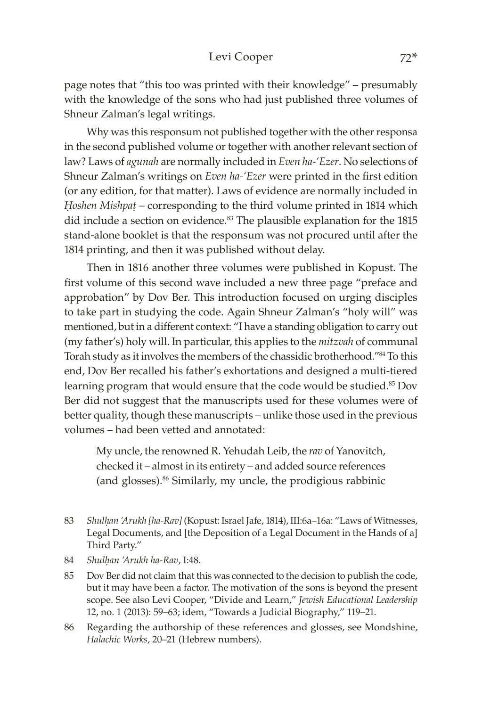page notes that "this too was printed with their knowledge" – presumably with the knowledge of the sons who had just published three volumes of Shneur Zalman's legal writings.

Why was this responsum not published together with the other responsa in the second published volume or together with another relevant section of law? Laws of *agunah* are normally included in *Even ha-'Ezer*. No selections of Shneur Zalman's writings on *Even ha-'Ezer* were printed in the first edition (or any edition, for that matter). Laws of evidence are normally included in *Ḥoshen Mishpaû* – corresponding to the third volume printed in 1814 which did include a section on evidence.<sup>83</sup> The plausible explanation for the 1815 stand-alone booklet is that the responsum was not procured until after the 1814 printing, and then it was published without delay.

Then in 1816 another three volumes were published in Kopust. The first volume of this second wave included a new three page "preface and approbation" by Dov Ber. This introduction focused on urging disciples to take part in studying the code. Again Shneur Zalman's "holy will" was mentioned, but in a different context: "I have a standing obligation to carry out (my father's) holy will. In particular, this applies to the *mitzvah* of communal Torah study as it involves the members of the chassidic brotherhood."84 To this end, Dov Ber recalled his father's exhortations and designed a multi-tiered learning program that would ensure that the code would be studied.<sup>85</sup> Dov Ber did not suggest that the manuscripts used for these volumes were of better quality, though these manuscripts – unlike those used in the previous volumes – had been vetted and annotated:

My uncle, the renowned R. Yehudah Leib, the *rav* of Yanovitch, checked it – almost in its entirety – and added source references (and glosses).86 Similarly, my uncle, the prodigious rabbinic

- 84 *Shulḥan 'Arukh ha-Rav*, I:48.
- 85 Dov Ber did not claim that this was connected to the decision to publish the code, but it may have been a factor. The motivation of the sons is beyond the present scope. See also Levi Cooper, "Divide and Learn," *Jewish Educational Leadership* 12, no. 1 (2013): 59–63; idem, "Towards a Judicial Biography," 119–21.
- 86 Regarding the authorship of these references and glosses, see Mondshine, *Halachic Works*, 20–21 (Hebrew numbers).

<sup>83</sup> *Shulḥan 'Arukh [ha-Rav]* (Kopust: Israel Jafe, 1814), III:6a–16a: "Laws of Witnesses, Legal Documents, and [the Deposition of a Legal Document in the Hands of a] Third Party."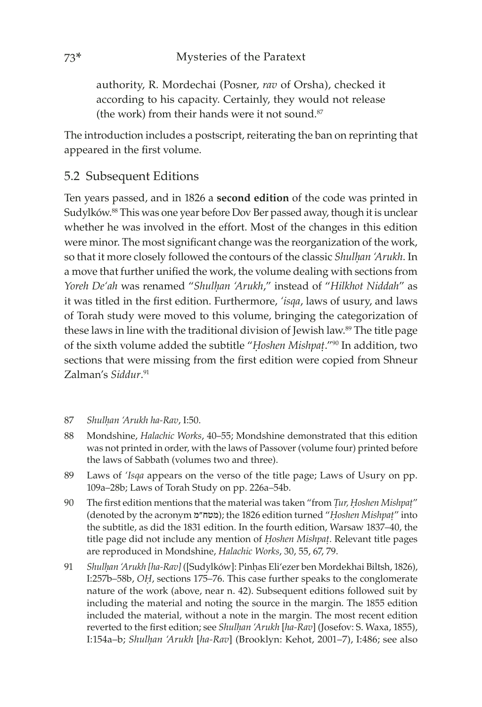authority, R. Mordechai (Posner, *rav* of Orsha), checked it according to his capacity. Certainly, they would not release (the work) from their hands were it not sound.<sup>87</sup>

The introduction includes a postscript, reiterating the ban on reprinting that appeared in the first volume.

# 5.2 Subsequent Editions

Ten years passed, and in 1826 a **second edition** of the code was printed in Sudylków.88 This was one year before Dov Ber passed away, though it is unclear whether he was involved in the effort. Most of the changes in this edition were minor. The most significant change was the reorganization of the work, so that it more closely followed the contours of the classic *Shulhan 'Arukh*. In a move that further unified the work, the volume dealing with sections from *Yoreh De'ah* was renamed "*Shulḥan 'Arukh*," instead of "*Hilkhot Niddah*" as it was titled in the first edition. Furthermore, *'isqa*, laws of usury, and laws of Torah study were moved to this volume, bringing the categorization of these laws in line with the traditional division of Jewish law.<sup>89</sup> The title page of the sixth volume added the subtitle "*Ḥoshen Mishpaû*."90 In addition, two sections that were missing from the first edition were copied from Shneur Zalman's *Siddur*. 91

- 87 *Shulḥan 'Arukh ha-Rav*, I:50.
- 88 Mondshine, *Halachic Works*, 40–55; Mondshine demonstrated that this edition was not printed in order, with the laws of Passover (volume four) printed before the laws of Sabbath (volumes two and three).
- 89 Laws of *'Isqa* appears on the verso of the title page; Laws of Usury on pp. 109a–28b; Laws of Torah Study on pp. 226a–54b.
- 90 The first edition mentions that the material was taken "from *Ûur, Ḥoshen Mishpaû*" (denoted by the acronym מ"מטח ;(the 1826 edition turned "*Ḥoshen Mishpaû*" into the subtitle, as did the 1831 edition. In the fourth edition, Warsaw 1837–40, the title page did not include any mention of *Ḥoshen Mishpaû*. Relevant title pages are reproduced in Mondshine, *Halachic Works*, 30, 55, 67, 79.
- 91 *Shulḥan 'Arukh [ha-Rav]* ([Sudylków]: Pinḥas Eli'ezer ben Mordekhai Biltsh, 1826), I:257b–58b, *OḤ*, sections 175–76. This case further speaks to the conglomerate nature of the work (above, near n. 42). Subsequent editions followed suit by including the material and noting the source in the margin. The 1855 edition included the material, without a note in the margin. The most recent edition reverted to the first edition; see *Shulhan 'Arukh* [ha-Rav] (Josefov: S. Waxa, 1855), I:154a–b; *Shulḥan 'Arukh* [*ha-Rav*] (Brooklyn: Kehot, 2001–7), I:486; see also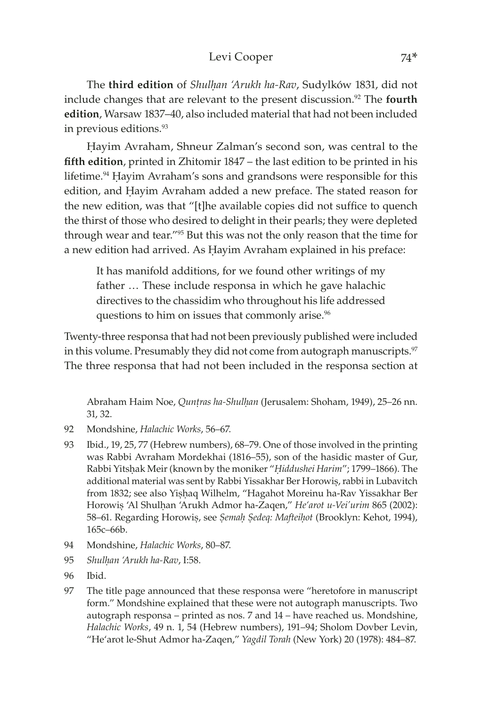#### Levi Cooper 74\*

The **third edition** of *Shulḥan 'Arukh ha-Rav*, Sudylków 1831, did not include changes that are relevant to the present discussion.<sup>92</sup> The **fourth edition**, Warsaw 1837–40, also included material that had not been included in previous editions.<sup>93</sup>

Ḥayim Avraham, Shneur Zalman's second son, was central to the **fifth edition**, printed in Zhitomir 1847 – the last edition to be printed in his lifetime.<sup>94</sup> Hayim Avraham's sons and grandsons were responsible for this edition, and Ḥayim Avraham added a new preface. The stated reason for the new edition, was that "[t]he available copies did not suffice to quench the thirst of those who desired to delight in their pearls; they were depleted through wear and tear."95 But this was not the only reason that the time for a new edition had arrived. As Ḥayim Avraham explained in his preface:

It has manifold additions, for we found other writings of my father … These include responsa in which he gave halachic directives to the chassidim who throughout his life addressed questions to him on issues that commonly arise.<sup>96</sup>

Twenty-three responsa that had not been previously published were included in this volume. Presumably they did not come from autograph manuscripts.<sup>97</sup> The three responsa that had not been included in the responsa section at

Abraham Haim Noe, *Qunṭras ha-Shulḥan* (Jerusalem: Shoham, 1949), 25-26 nn. 31, 32.

- 92 Mondshine, *Halachic Works*, 56–67.
- 93 Ibid., 19, 25, 77 (Hebrew numbers), 68–79. One of those involved in the printing was Rabbi Avraham Mordekhai (1816–55), son of the hasidic master of Gur, Rabbi Yitsḥak Meir (known by the moniker "*Ḥiddushei Harim*"; 1799–1866). The additional material was sent by Rabbi Yissakhar Ber Horowiṣ, rabbi in Lubavitch from 1832; see also Yiṣḥaq Wilhelm, "Hagahot Moreinu ha-Rav Yissakhar Ber Horowiṣ 'Al Shulḥan 'Arukh Admor ha-Zaqen," *He'arot u-Vei'urim* 865 (2002): 58–61. Regarding Horowiṣ, see *Ṣemaḥ Ṣedeq: Mafteiḥot* (Brooklyn: Kehot, 1994), 165c–66b.
- 94 Mondshine, *Halachic Works*, 80–87.
- 95 *Shulḥan 'Arukh ha-Rav*, I:58.
- 96 Ibid.
- 97 The title page announced that these responsa were "heretofore in manuscript form." Mondshine explained that these were not autograph manuscripts. Two autograph responsa – printed as nos. 7 and 14 – have reached us. Mondshine, *Halachic Works*, 49 n. 1, 54 (Hebrew numbers), 191–94; Sholom Dovber Levin, "He'arot le-Shut Admor ha-Zaqen," *Yagdil Torah* (New York) 20 (1978): 484–87.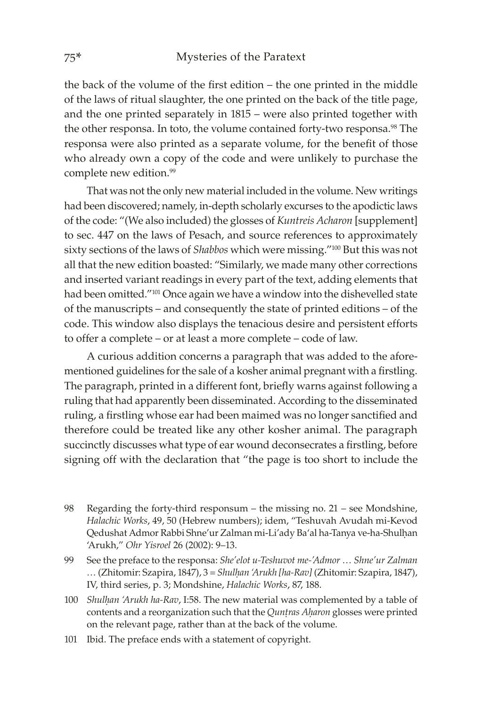the back of the volume of the first edition – the one printed in the middle of the laws of ritual slaughter, the one printed on the back of the title page, and the one printed separately in 1815 – were also printed together with the other responsa. In toto, the volume contained forty-two responsa.<sup>98</sup> The responsa were also printed as a separate volume, for the benefit of those who already own a copy of the code and were unlikely to purchase the complete new edition.<sup>99</sup>

That was not the only new material included in the volume. New writings had been discovered; namely, in-depth scholarly excurses to the apodictic laws of the code: "(We also included) the glosses of *Kuntreis Acharon* [supplement] to sec. 447 on the laws of Pesach, and source references to approximately sixty sections of the laws of *Shabbos* which were missing."100 But this was not all that the new edition boasted: "Similarly, we made many other corrections and inserted variant readings in every part of the text, adding elements that had been omitted."101 Once again we have a window into the dishevelled state of the manuscripts – and consequently the state of printed editions – of the code. This window also displays the tenacious desire and persistent efforts to offer a complete – or at least a more complete – code of law.

A curious addition concerns a paragraph that was added to the aforementioned guidelines for the sale of a kosher animal pregnant with a firstling. The paragraph, printed in a different font, briefly warns against following a ruling that had apparently been disseminated. According to the disseminated ruling, a firstling whose ear had been maimed was no longer sanctified and therefore could be treated like any other kosher animal. The paragraph succinctly discusses what type of ear wound deconsecrates a firstling, before signing off with the declaration that "the page is too short to include the

98 Regarding the forty-third responsum – the missing no. 21 – see Mondshine, *Halachic Works*, 49, 50 (Hebrew numbers); idem, "Teshuvah Avudah mi-Kevod Qedushat Admor Rabbi Shne'ur Zalman mi-Li'ady Ba'al ha-Tanya ve-ha-Shulḥan 'Arukh," *Ohr Yisroel* 26 (2002): 9–13.

99 See the preface to the responsa: *She'elot u-Teshuvot me-'Admor … Shne'ur Zalman …* (Zhitomir: Szapira, 1847), 3 = *Shulḥan 'Arukh [ha-Rav]* (Zhitomir: Szapira, 1847), IV, third series, p. 3; Mondshine, *Halachic Works*, 87, 188.

- 100 *Shulḥan 'Arukh ha-Rav*, I:58. The new material was complemented by a table of contents and a reorganization such that the *Quntras Aharon* glosses were printed on the relevant page, rather than at the back of the volume.
- 101 Ibid. The preface ends with a statement of copyright.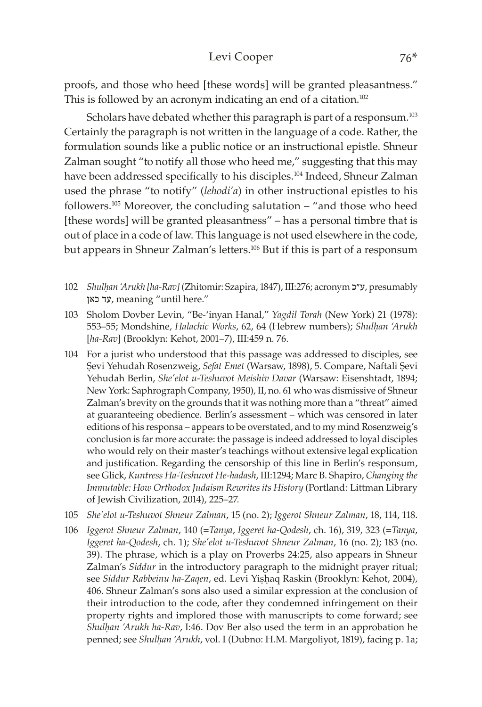#### Levi Cooper 76\*

proofs, and those who heed [these words] will be granted pleasantness." This is followed by an acronym indicating an end of a citation.<sup>102</sup>

Scholars have debated whether this paragraph is part of a responsum.<sup>103</sup> Certainly the paragraph is not written in the language of a code. Rather, the formulation sounds like a public notice or an instructional epistle. Shneur Zalman sought "to notify all those who heed me," suggesting that this may have been addressed specifically to his disciples.<sup>104</sup> Indeed, Shneur Zalman used the phrase "to notify" (*lehodi'a*) in other instructional epistles to his followers.<sup>105</sup> Moreover, the concluding salutation  $-$  "and those who heed [these words] will be granted pleasantness" – has a personal timbre that is out of place in a code of law. This language is not used elsewhere in the code, but appears in Shneur Zalman's letters.106 But if this is part of a responsum

- 102 *Shulḥan 'Arukh [ha-Rav]* (Zhitomir: Szapira, 1847), III:276; acronym כ"ע, presumably כאן עד, meaning "until here."
- 103 Sholom Dovber Levin, "Be-'inyan Hanal," *Yagdil Torah* (New York) 21 (1978): 553–55; Mondshine, *Halachic Works*, 62, 64 (Hebrew numbers); *Shulḥan 'Arukh* [*ha-Rav*] (Brooklyn: Kehot, 2001–7), III:459 n. 76.
- 104 For a jurist who understood that this passage was addressed to disciples, see Sevi Yehudah Rosenzweig, Sefat Emet (Warsaw, 1898), 5. Compare, Naftali Sevi Yehudah Berlin, *She'elot u-Teshuvot Meishiv Davar* (Warsaw: Eisenshtadt, 1894; New York: Saphrograph Company, 1950), II, no. 61 who was dismissive of Shneur Zalman's brevity on the grounds that it was nothing more than a "threat" aimed at guaranteeing obedience. Berlin's assessment – which was censored in later editions of his responsa – appears to be overstated, and to my mind Rosenzweig's conclusion is far more accurate: the passage is indeed addressed to loyal disciples who would rely on their master's teachings without extensive legal explication and justification. Regarding the censorship of this line in Berlin's responsum, see Glick, *Kuntress Ha-Teshuvot He-hadash*, III:1294; Marc B. Shapiro, *Changing the Immutable: How Orthodox Judaism Rewrites its History* (Portland: Littman Library of Jewish Civilization, 2014), 225–27.
- 105 *She'elot u-Teshuvot Shneur Zalman*, 15 (no. 2); *Iggerot Shneur Zalman*, 18, 114, 118.
- 106 *Iggerot Shneur Zalman*, 140 (=*Tanya*, *Iggeret ha-Qodesh*, ch. 16), 319, 323 (=*Tanya*, *Iggeret ha-Qodesh*, ch. 1); *She'elot u-Teshuvot Shneur Zalman*, 16 (no. 2); 183 (no. 39). The phrase, which is a play on Proverbs 24:25, also appears in Shneur Zalman's *Siddur* in the introductory paragraph to the midnight prayer ritual; see *Siddur Rabbeinu ha-Zaqen*, ed. Levi Yiṣḥaq Raskin (Brooklyn: Kehot, 2004), 406. Shneur Zalman's sons also used a similar expression at the conclusion of their introduction to the code, after they condemned infringement on their property rights and implored those with manuscripts to come forward; see *Shulḥan 'Arukh ha-Rav*, I:46. Dov Ber also used the term in an approbation he penned; see *Shulḥan 'Arukh*, vol. I (Dubno: H.M. Margoliyot, 1819), facing p. 1a;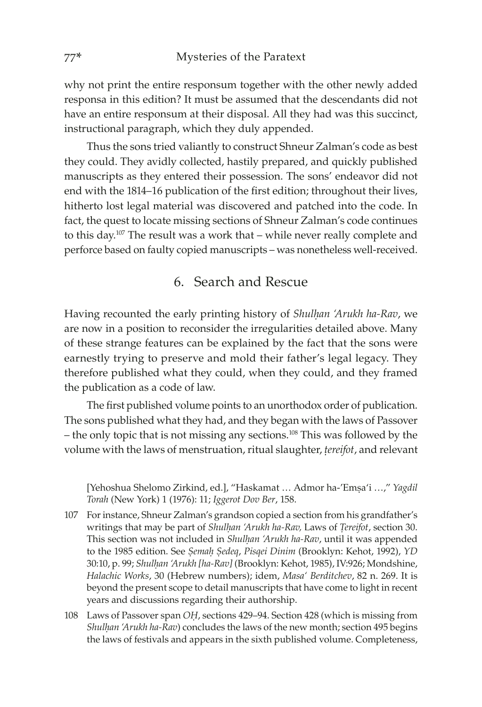why not print the entire responsum together with the other newly added responsa in this edition? It must be assumed that the descendants did not have an entire responsum at their disposal. All they had was this succinct, instructional paragraph, which they duly appended.

Thus the sons tried valiantly to construct Shneur Zalman's code as best they could. They avidly collected, hastily prepared, and quickly published manuscripts as they entered their possession. The sons' endeavor did not end with the 1814–16 publication of the first edition; throughout their lives, hitherto lost legal material was discovered and patched into the code. In fact, the quest to locate missing sections of Shneur Zalman's code continues to this day.107 The result was a work that – while never really complete and perforce based on faulty copied manuscripts – was nonetheless well-received.

# 6. Search and Rescue

Having recounted the early printing history of *Shulhan 'Arukh ha-Rav*, we are now in a position to reconsider the irregularities detailed above. Many of these strange features can be explained by the fact that the sons were earnestly trying to preserve and mold their father's legal legacy. They therefore published what they could, when they could, and they framed the publication as a code of law.

The first published volume points to an unorthodox order of publication. The sons published what they had, and they began with the laws of Passover – the only topic that is not missing any sections.108 This was followed by the volume with the laws of menstruation, ritual slaughter, *ûereifot*, and relevant

[Yehoshua Shelomo Zirkind, ed.], "Haskamat … Admor ha-'Emṣa'i …," *Yagdil Torah* (New York) 1 (1976): 11; *Iggerot Dov Ber*, 158.

- 107 For instance, Shneur Zalman's grandson copied a section from his grandfather's writings that may be part of *Shulḥan 'Arukh ha-Rav,* Laws of *Ṭereifot*, section 30. This section was not included in *Shulḥan 'Arukh ha-Rav*, until it was appended to the 1985 edition. See *Ṣemaḥ Ṣedeq*, *Pisqei Dinim* (Brooklyn: Kehot, 1992), *YD* 30:10, p. 99; *Shulḥan 'Arukh [ha-Rav]* (Brooklyn: Kehot, 1985), IV:926; Mondshine, *Halachic Works*, 30 (Hebrew numbers); idem, *Masa' Berditchev*, 82 n. 269. It is beyond the present scope to detail manuscripts that have come to light in recent years and discussions regarding their authorship.
- 108 Laws of Passover span *OḤ*, sections 429–94. Section 428 (which is missing from *Shulhan 'Arukh ha-Rav*) concludes the laws of the new month; section 495 begins the laws of festivals and appears in the sixth published volume. Completeness,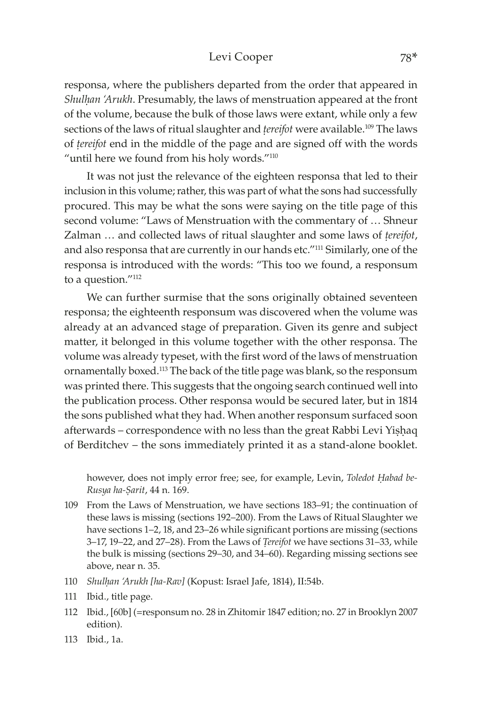#### Levi Cooper 78\*

responsa, where the publishers departed from the order that appeared in *Shulḥan 'Arukh*. Presumably, the laws of menstruation appeared at the front of the volume, because the bulk of those laws were extant, while only a few sections of the laws of ritual slaughter and *tereifot* were available.<sup>109</sup> The laws of *ûereifot* end in the middle of the page and are signed off with the words "until here we found from his holy words."<sup>110</sup>

It was not just the relevance of the eighteen responsa that led to their inclusion in this volume; rather, this was part of what the sons had successfully procured. This may be what the sons were saying on the title page of this second volume: "Laws of Menstruation with the commentary of … Shneur Zalman … and collected laws of ritual slaughter and some laws of *ûereifot*, and also responsa that are currently in our hands etc."<sup>111</sup> Similarly, one of the responsa is introduced with the words: "This too we found, a responsum to a question."<sup>112</sup>

We can further surmise that the sons originally obtained seventeen responsa; the eighteenth responsum was discovered when the volume was already at an advanced stage of preparation. Given its genre and subject matter, it belonged in this volume together with the other responsa. The volume was already typeset, with the first word of the laws of menstruation ornamentally boxed.113 The back of the title page was blank, so the responsum was printed there. This suggests that the ongoing search continued well into the publication process. Other responsa would be secured later, but in 1814 the sons published what they had. When another responsum surfaced soon afterwards – correspondence with no less than the great Rabbi Levi Yiṣḥaq of Berditchev – the sons immediately printed it as a stand-alone booklet.

however, does not imply error free; see, for example, Levin, *Toledot Ḥabad be-Rusya ha-Ṣarit*, 44 n. 169.

- 109 From the Laws of Menstruation, we have sections 183–91; the continuation of these laws is missing (sections 192–200). From the Laws of Ritual Slaughter we have sections 1–2, 18, and 23–26 while significant portions are missing (sections 3–17, 19–22, and 27–28). From the Laws of *Ṭereifot* we have sections 31–33, while the bulk is missing (sections 29–30, and 34–60). Regarding missing sections see above, near n. 35.
- 110 *Shulḥan 'Arukh [ha-Rav]* (Kopust: Israel Jafe, 1814), II:54b.
- 111 Ibid., title page.
- 112 Ibid., [60b] (=responsum no. 28 in Zhitomir 1847 edition; no. 27 in Brooklyn 2007 edition).
- 113 Ibid., 1a.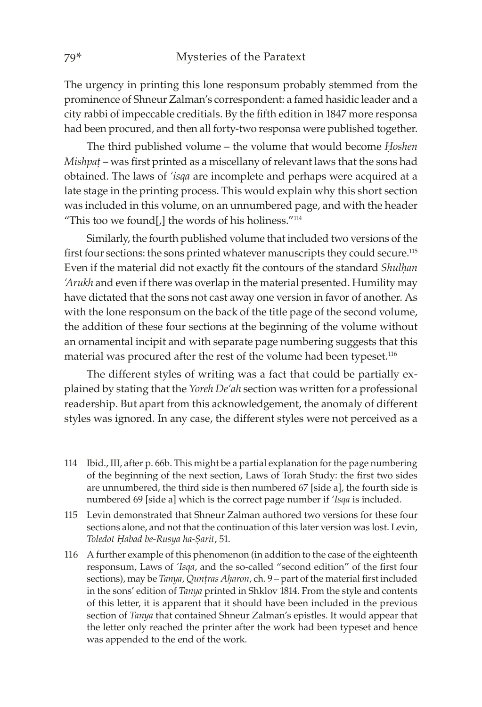The urgency in printing this lone responsum probably stemmed from the prominence of Shneur Zalman's correspondent: a famed hasidic leader and a city rabbi of impeccable creditials. By the fifth edition in 1847 more responsa had been procured, and then all forty-two responsa were published together.

The third published volume – the volume that would become *Ḥoshen Mishpat* – was first printed as a miscellany of relevant laws that the sons had obtained. The laws of *'isqa* are incomplete and perhaps were acquired at a late stage in the printing process. This would explain why this short section was included in this volume, on an unnumbered page, and with the header "This too we found[,] the words of his holiness."114

Similarly, the fourth published volume that included two versions of the first four sections: the sons printed whatever manuscripts they could secure.<sup>115</sup> Even if the material did not exactly fit the contours of the standard *Shulḥan 'Arukh* and even if there was overlap in the material presented. Humility may have dictated that the sons not cast away one version in favor of another. As with the lone responsum on the back of the title page of the second volume, the addition of these four sections at the beginning of the volume without an ornamental incipit and with separate page numbering suggests that this material was procured after the rest of the volume had been typeset.<sup>116</sup>

The different styles of writing was a fact that could be partially explained by stating that the *Yoreh De'ah* section was written for a professional readership. But apart from this acknowledgement, the anomaly of different styles was ignored. In any case, the different styles were not perceived as a

- 114 Ibid., III, after p. 66b. This might be a partial explanation for the page numbering of the beginning of the next section, Laws of Torah Study: the first two sides are unnumbered, the third side is then numbered 67 [side a], the fourth side is numbered 69 [side a] which is the correct page number if *'Isqa* is included.
- 115 Levin demonstrated that Shneur Zalman authored two versions for these four sections alone, and not that the continuation of this later version was lost. Levin, *Toledot Ḥabad be-Rusya ha-Ṣarit*, 51.
- 116 A further example of this phenomenon (in addition to the case of the eighteenth responsum, Laws of *'Isqa*, and the so-called "second edition" of the first four sections), may be *Tanya*, *Quntras Aḥaron*, ch. 9 – part of the material first included in the sons' edition of *Tanya* printed in Shklov 1814. From the style and contents of this letter, it is apparent that it should have been included in the previous section of *Tanya* that contained Shneur Zalman's epistles. It would appear that the letter only reached the printer after the work had been typeset and hence was appended to the end of the work.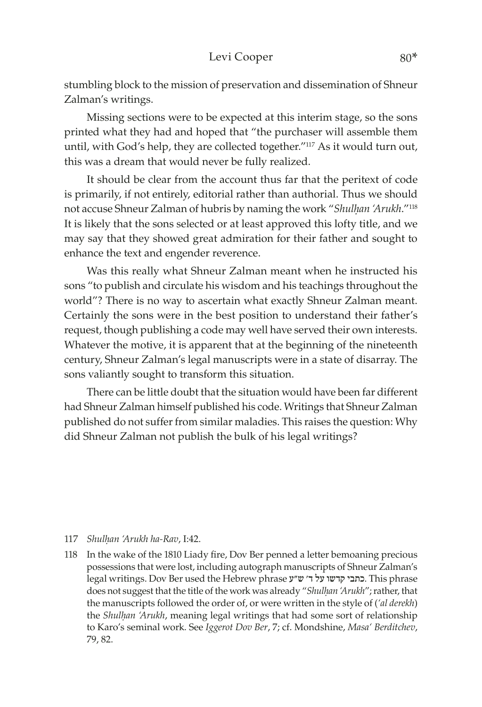stumbling block to the mission of preservation and dissemination of Shneur Zalman's writings.

Missing sections were to be expected at this interim stage, so the sons printed what they had and hoped that "the purchaser will assemble them until, with God's help, they are collected together."117 As it would turn out, this was a dream that would never be fully realized.

It should be clear from the account thus far that the peritext of code is primarily, if not entirely, editorial rather than authorial. Thus we should not accuse Shneur Zalman of hubris by naming the work "Shulhan 'Arukh."<sup>118</sup> It is likely that the sons selected or at least approved this lofty title, and we may say that they showed great admiration for their father and sought to enhance the text and engender reverence.

Was this really what Shneur Zalman meant when he instructed his sons "to publish and circulate his wisdom and his teachings throughout the world"? There is no way to ascertain what exactly Shneur Zalman meant. Certainly the sons were in the best position to understand their father's request, though publishing a code may well have served their own interests. Whatever the motive, it is apparent that at the beginning of the nineteenth century, Shneur Zalman's legal manuscripts were in a state of disarray. The sons valiantly sought to transform this situation.

There can be little doubt that the situation would have been far different had Shneur Zalman himself published his code. Writings that Shneur Zalman published do not suffer from similar maladies. This raises the question: Why did Shneur Zalman not publish the bulk of his legal writings?

#### 117 *Shulḥan 'Arukh ha-Rav*, I:42.

118 In the wake of the 1810 Liady fire, Dov Ber penned a letter bemoaning precious possessions that were lost, including autograph manuscripts of Shneur Zalman's legal writings. Dov Ber used the Hebrew phrase כתבי קדשו על ד׳ ש"ע. This phrase does not suggest that the title of the work was already "*Shulḥan 'Arukh*"; rather, that the manuscripts followed the order of, or were written in the style of (*'al derekh*) the *Shulḥan 'Arukh*, meaning legal writings that had some sort of relationship to Karo's seminal work. See *Iggerot Dov Ber*, 7; cf. Mondshine, *Masa' Berditchev*, 79, 82.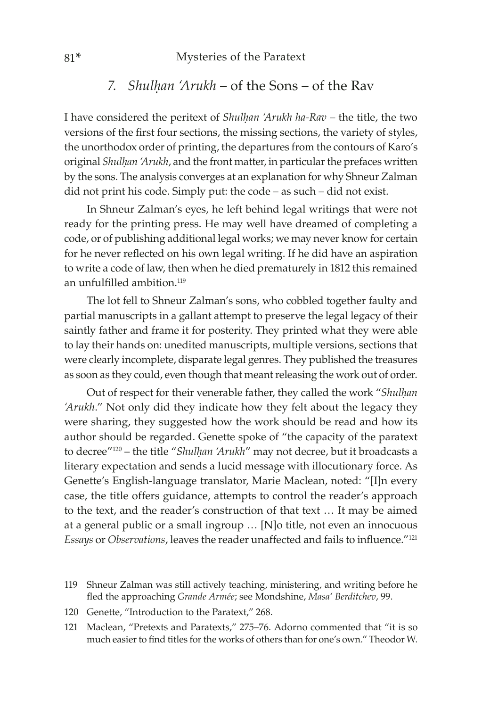#### 81\* Mysteries of the Paratext

# *7. Shulhan 'Arukh* – of the Sons – of the Rav

I have considered the peritext of *Shulḥan 'Arukh ha-Rav* – the title, the two versions of the first four sections, the missing sections, the variety of styles, the unorthodox order of printing, the departures from the contours of Karo's original *Shulhan 'Arukh*, and the front matter, in particular the prefaces written by the sons. The analysis converges at an explanation for why Shneur Zalman did not print his code. Simply put: the code – as such – did not exist.

In Shneur Zalman's eyes, he left behind legal writings that were not ready for the printing press. He may well have dreamed of completing a code, or of publishing additional legal works; we may never know for certain for he never reflected on his own legal writing. If he did have an aspiration to write a code of law, then when he died prematurely in 1812 this remained an unfulfilled ambition  $119$ 

The lot fell to Shneur Zalman's sons, who cobbled together faulty and partial manuscripts in a gallant attempt to preserve the legal legacy of their saintly father and frame it for posterity. They printed what they were able to lay their hands on: unedited manuscripts, multiple versions, sections that were clearly incomplete, disparate legal genres. They published the treasures as soon as they could, even though that meant releasing the work out of order.

Out of respect for their venerable father, they called the work "*Shulḥan 'Arukh*." Not only did they indicate how they felt about the legacy they were sharing, they suggested how the work should be read and how its author should be regarded. Genette spoke of "the capacity of the paratext to decree"<sup>120</sup> – the title "*Shulhan 'Arukh*" may not decree, but it broadcasts a literary expectation and sends a lucid message with illocutionary force. As Genette's English-language translator, Marie Maclean, noted: "[I]n every case, the title offers guidance, attempts to control the reader's approach to the text, and the reader's construction of that text … It may be aimed at a general public or a small ingroup … [N]o title, not even an innocuous *Essays* or *Observations*, leaves the reader unaffected and fails to influence."<sup>121</sup>

- 120 Genette, "Introduction to the Paratext," 268.
- 121 Maclean, "Pretexts and Paratexts," 275–76. Adorno commented that "it is so much easier to find titles for the works of others than for one's own." Theodor W.

<sup>119</sup> Shneur Zalman was still actively teaching, ministering, and writing before he fled the approaching *Grande Armée*; see Mondshine, *Masa' Berditchev*, 99.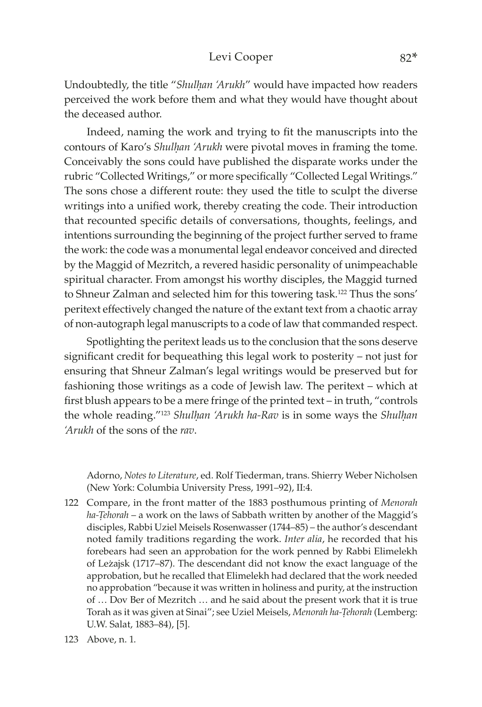#### Levi Cooper 82\*

Undoubtedly, the title "*Shulḥan 'Arukh*" would have impacted how readers perceived the work before them and what they would have thought about the deceased author.

Indeed, naming the work and trying to fit the manuscripts into the contours of Karo's *Shulhan 'Arukh* were pivotal moves in framing the tome. Conceivably the sons could have published the disparate works under the rubric "Collected Writings," or more specifically "Collected Legal Writings." The sons chose a different route: they used the title to sculpt the diverse writings into a unified work, thereby creating the code. Their introduction that recounted specific details of conversations, thoughts, feelings, and intentions surrounding the beginning of the project further served to frame the work: the code was a monumental legal endeavor conceived and directed by the Maggid of Mezritch, a revered hasidic personality of unimpeachable spiritual character. From amongst his worthy disciples, the Maggid turned to Shneur Zalman and selected him for this towering task.<sup>122</sup> Thus the sons' peritext effectively changed the nature of the extant text from a chaotic array of non-autograph legal manuscripts to a code of law that commanded respect.

Spotlighting the peritext leads us to the conclusion that the sons deserve significant credit for bequeathing this legal work to posterity – not just for ensuring that Shneur Zalman's legal writings would be preserved but for fashioning those writings as a code of Jewish law. The peritext – which at first blush appears to be a mere fringe of the printed text – in truth, "controls the whole reading."123 *Shulḥan 'Arukh ha-Rav* is in some ways the *Shulḥan 'Arukh* of the sons of the *rav*.

Adorno, *Notes to Literature*, ed. Rolf Tiederman, trans. Shierry Weber Nicholsen (New York: Columbia University Press, 1991–92), II:4.

- 122 Compare, in the front matter of the 1883 posthumous printing of *Menorah*  ha-Tehorah – a work on the laws of Sabbath written by another of the Maggid's disciples, Rabbi Uziel Meisels Rosenwasser (1744–85) – the author's descendant noted family traditions regarding the work. *Inter alia*, he recorded that his forebears had seen an approbation for the work penned by Rabbi Elimelekh of Leżajsk (1717–87). The descendant did not know the exact language of the approbation, but he recalled that Elimelekh had declared that the work needed no approbation "because it was written in holiness and purity, at the instruction of … Dov Ber of Mezritch … and he said about the present work that it is true Torah as it was given at Sinai"; see Uziel Meisels, *Menorah ha-Tehorah* (Lemberg: U.W. Salat, 1883–84), [5].
- 123 Above, n. 1.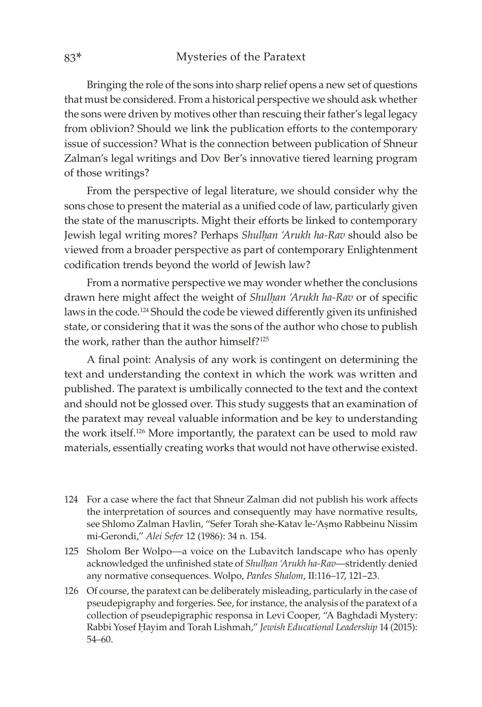Bringing the role of the sons into sharp relief opens a new set of questions that must be considered. From a historical perspective we should ask whether the sons were driven by motives other than rescuing their father's legal legacy from oblivion? Should we link the publication efforts to the contemporary issue of succession? What is the connection between publication of Shneur Zalman's legal writings and Dov Ber's innovative tiered learning program of those writings?

From the perspective of legal literature, we should consider why the sons chose to present the material as a unified code of law, particularly given the state of the manuscripts. Might their efforts be linked to contemporary Jewish legal writing mores? Perhaps *Shulḥan 'Arukh ha-Rav* should also be viewed from a broader perspective as part of contemporary Enlightenment codification trends beyond the world of Jewish law?

From a normative perspective we may wonder whether the conclusions drawn here might affect the weight of *Shulhan 'Arukh ha-Rav* or of specific laws in the code.124 Should the code be viewed differently given its unfinished state, or considering that it was the sons of the author who chose to publish the work, rather than the author himself? $125$ 

A final point: Analysis of any work is contingent on determining the text and understanding the context in which the work was written and published. The paratext is umbilically connected to the text and the context and should not be glossed over. This study suggests that an examination of the paratext may reveal valuable information and be key to understanding the work itself.126 More importantly, the paratext can be used to mold raw materials, essentially creating works that would not have otherwise existed.

- 124 For a case where the fact that Shneur Zalman did not publish his work affects the interpretation of sources and consequently may have normative results, see Shlomo Zalman Havlin, "Sefer Torah she-Katav le-'Aṣmo Rabbeinu Nissim mi-Gerondi," *Alei Sefer* 12 (1986): 34 n. 154.
- 125 Sholom Ber Wolpo—a voice on the Lubavitch landscape who has openly acknowledged the unfinished state of *Shulḥan 'Arukh ha-Rav*—stridently denied any normative consequences. Wolpo, *Pardes Shalom*, II:116–17, 121–23.
- 126 Of course, the paratext can be deliberately misleading, particularly in the case of pseudepigraphy and forgeries. See, for instance, the analysis of the paratext of a collection of pseudepigraphic responsa in Levi Cooper, "A Baghdadi Mystery: Rabbi Yosef Ḥayim and Torah Lishmah," *Jewish Educational Leadership* 14 (2015): 54–60.